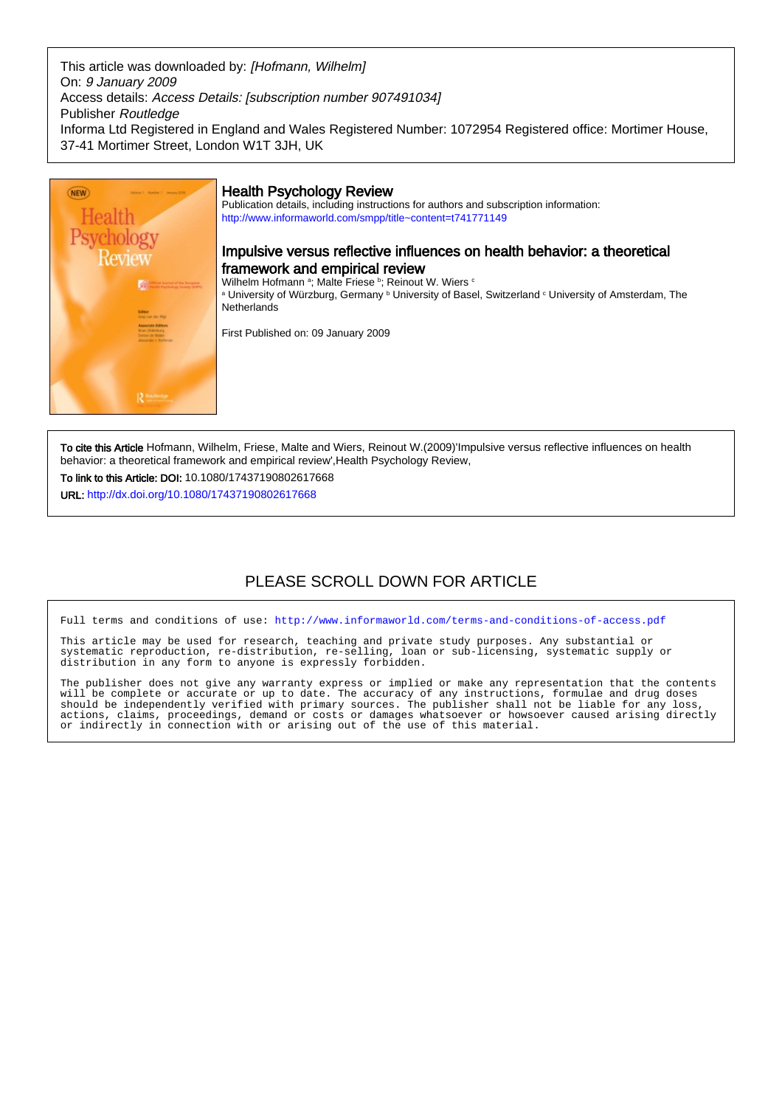This article was downloaded by: [Hofmann, Wilhelm] On: 9 January 2009 Access details: Access Details: [subscription number 907491034] Publisher Routledge Informa Ltd Registered in England and Wales Registered Number: 1072954 Registered office: Mortimer House, 37-41 Mortimer Street, London W1T 3JH, UK



## Health Psychology Review

Publication details, including instructions for authors and subscription information: <http://www.informaworld.com/smpp/title~content=t741771149>

## Impulsive versus reflective influences on health behavior: a theoretical framework and empirical review

Wilhelm Hofmann <sup>a</sup>; Malte Friese <sup>b</sup>; Reinout W. Wiers <sup>c</sup> a University of Würzburg, Germany <sup>ь</sup> University of Basel, Switzerland <sup>с</sup> University of Amsterdam, The Netherlands

First Published on: 09 January 2009

To cite this Article Hofmann, Wilhelm, Friese, Malte and Wiers, Reinout W.(2009)'Impulsive versus reflective influences on health behavior: a theoretical framework and empirical review', Health Psychology Review,

To link to this Article: DOI: 10.1080/17437190802617668

URL: <http://dx.doi.org/10.1080/17437190802617668>

# PLEASE SCROLL DOWN FOR ARTICLE

Full terms and conditions of use:<http://www.informaworld.com/terms-and-conditions-of-access.pdf>

This article may be used for research, teaching and private study purposes. Any substantial or systematic reproduction, re-distribution, re-selling, loan or sub-licensing, systematic supply or distribution in any form to anyone is expressly forbidden.

The publisher does not give any warranty express or implied or make any representation that the contents will be complete or accurate or up to date. The accuracy of any instructions, formulae and drug doses should be independently verified with primary sources. The publisher shall not be liable for any loss, actions, claims, proceedings, demand or costs or damages whatsoever or howsoever caused arising directly or indirectly in connection with or arising out of the use of this material.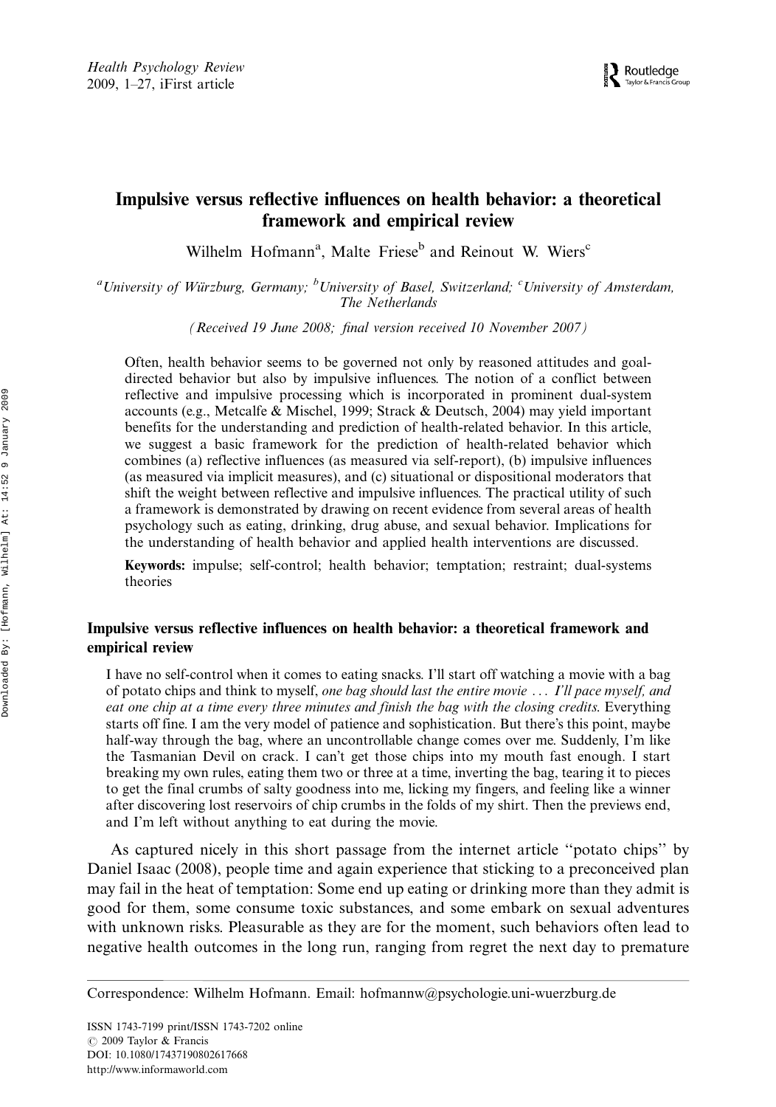## Impulsive versus reflective influences on health behavior: a theoretical framework and empirical review

Wilhelm Hofmann<sup>a</sup>, Malte Friese<sup>b</sup> and Reinout W. Wiers<sup>c</sup>

<sup>a</sup>University of Würzburg, Germany; <sup>b</sup>University of Basel, Switzerland; <sup>c</sup>University of Amsterdam, The Netherlands

(Received 19 June 2008; final version received 10 November 2007)

Often, health behavior seems to be governed not only by reasoned attitudes and goaldirected behavior but also by impulsive influences. The notion of a conflict between reflective and impulsive processing which is incorporated in prominent dual-system accounts (e.g., Metcalfe & Mischel, 1999; Strack & Deutsch, 2004) may yield important benefits for the understanding and prediction of health-related behavior. In this article, we suggest a basic framework for the prediction of health-related behavior which combines (a) reflective influences (as measured via self-report), (b) impulsive influences (as measured via implicit measures), and (c) situational or dispositional moderators that shift the weight between reflective and impulsive influences. The practical utility of such a framework is demonstrated by drawing on recent evidence from several areas of health psychology such as eating, drinking, drug abuse, and sexual behavior. Implications for the understanding of health behavior and applied health interventions are discussed.

Keywords: impulse; self-control; health behavior; temptation; restraint; dual-systems theories

## Impulsive versus reflective influences on health behavior: a theoretical framework and empirical review

I have no self-control when it comes to eating snacks. I'll start off watching a movie with a bag of potato chips and think to myself, one bag should last the entire movie ... I'll pace myself, and eat one chip at a time every three minutes and finish the bag with the closing credits. Everything starts off fine. I am the very model of patience and sophistication. But there's this point, maybe half-way through the bag, where an uncontrollable change comes over me. Suddenly, I'm like the Tasmanian Devil on crack. I can't get those chips into my mouth fast enough. I start breaking my own rules, eating them two or three at a time, inverting the bag, tearing it to pieces to get the final crumbs of salty goodness into me, licking my fingers, and feeling like a winner after discovering lost reservoirs of chip crumbs in the folds of my shirt. Then the previews end, and I'm left without anything to eat during the movie.

As captured nicely in this short passage from the internet article ''potato chips'' by Daniel Isaac (2008), people time and again experience that sticking to a preconceived plan may fail in the heat of temptation: Some end up eating or drinking more than they admit is good for them, some consume toxic substances, and some embark on sexual adventures with unknown risks. Pleasurable as they are for the moment, such behaviors often lead to negative health outcomes in the long run, ranging from regret the next day to premature

Correspondence: Wilhelm Hofmann. Email: hofmannw@psychologie.uni-wuerzburg.de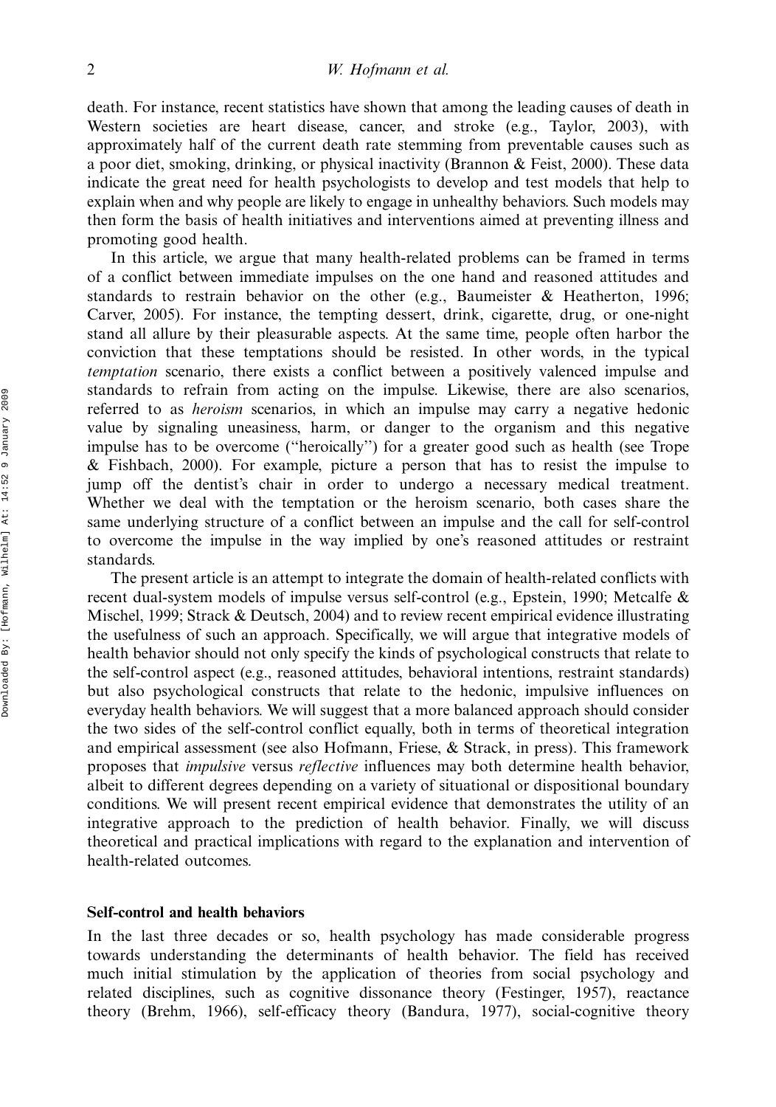#### 2 W. Hofmann et al.

death. For instance, recent statistics have shown that among the leading causes of death in Western societies are heart disease, cancer, and stroke (e.g., Taylor, 2003), with approximately half of the current death rate stemming from preventable causes such as a poor diet, smoking, drinking, or physical inactivity (Brannon  $\&$  Feist, 2000). These data indicate the great need for health psychologists to develop and test models that help to explain when and why people are likely to engage in unhealthy behaviors. Such models may then form the basis of health initiatives and interventions aimed at preventing illness and promoting good health.

In this article, we argue that many health-related problems can be framed in terms of a conflict between immediate impulses on the one hand and reasoned attitudes and standards to restrain behavior on the other (e.g., Baumeister & Heatherton, 1996; Carver, 2005). For instance, the tempting dessert, drink, cigarette, drug, or one-night stand all allure by their pleasurable aspects. At the same time, people often harbor the conviction that these temptations should be resisted. In other words, in the typical temptation scenario, there exists a conflict between a positively valenced impulse and standards to refrain from acting on the impulse. Likewise, there are also scenarios, referred to as heroism scenarios, in which an impulse may carry a negative hedonic value by signaling uneasiness, harm, or danger to the organism and this negative impulse has to be overcome (''heroically'') for a greater good such as health (see Trope & Fishbach, 2000). For example, picture a person that has to resist the impulse to jump off the dentist's chair in order to undergo a necessary medical treatment. Whether we deal with the temptation or the heroism scenario, both cases share the same underlying structure of a conflict between an impulse and the call for self-control to overcome the impulse in the way implied by one's reasoned attitudes or restraint standards.

The present article is an attempt to integrate the domain of health-related conflicts with recent dual-system models of impulse versus self-control (e.g., Epstein, 1990; Metcalfe & Mischel, 1999; Strack & Deutsch, 2004) and to review recent empirical evidence illustrating the usefulness of such an approach. Specifically, we will argue that integrative models of health behavior should not only specify the kinds of psychological constructs that relate to the self-control aspect (e.g., reasoned attitudes, behavioral intentions, restraint standards) but also psychological constructs that relate to the hedonic, impulsive influences on everyday health behaviors. We will suggest that a more balanced approach should consider the two sides of the self-control conflict equally, both in terms of theoretical integration and empirical assessment (see also Hofmann, Friese, & Strack, in press). This framework proposes that impulsive versus reflective influences may both determine health behavior, albeit to different degrees depending on a variety of situational or dispositional boundary conditions. We will present recent empirical evidence that demonstrates the utility of an integrative approach to the prediction of health behavior. Finally, we will discuss theoretical and practical implications with regard to the explanation and intervention of health-related outcomes.

#### Self-control and health behaviors

In the last three decades or so, health psychology has made considerable progress towards understanding the determinants of health behavior. The field has received much initial stimulation by the application of theories from social psychology and related disciplines, such as cognitive dissonance theory (Festinger, 1957), reactance theory (Brehm, 1966), self-efficacy theory (Bandura, 1977), social-cognitive theory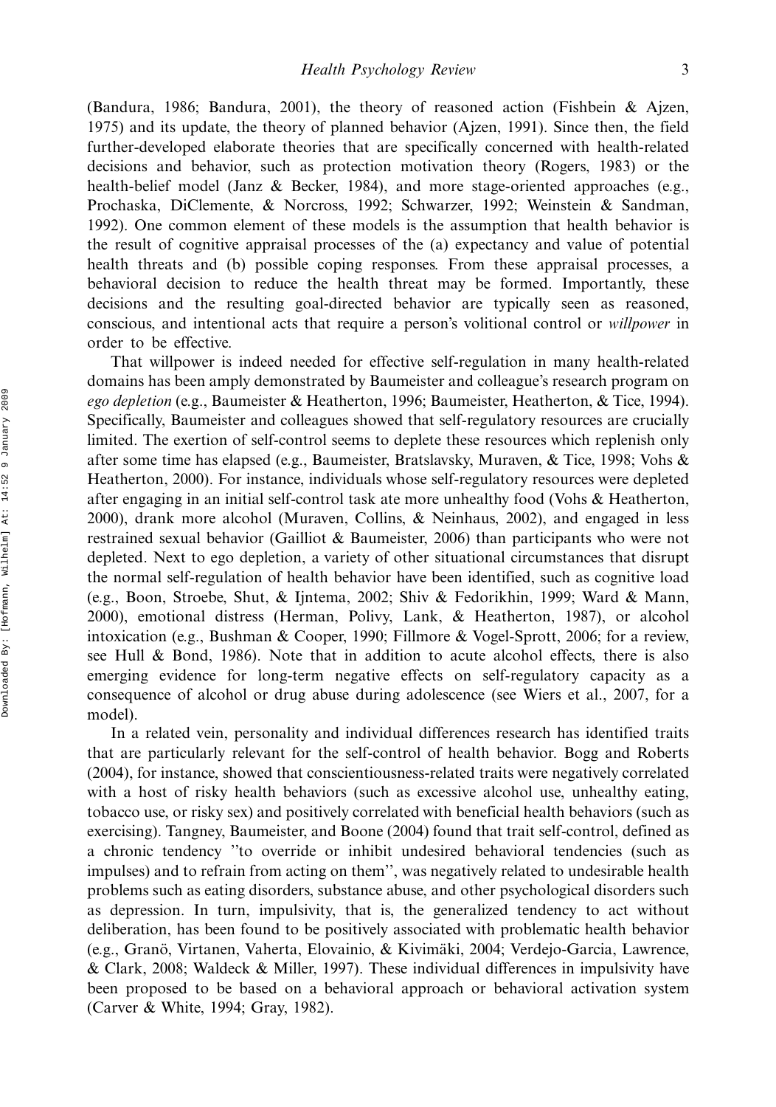(Bandura, 1986; Bandura, 2001), the theory of reasoned action (Fishbein & Ajzen, 1975) and its update, the theory of planned behavior (Ajzen, 1991). Since then, the field further-developed elaborate theories that are specifically concerned with health-related decisions and behavior, such as protection motivation theory (Rogers, 1983) or the health-belief model (Janz & Becker, 1984), and more stage-oriented approaches (e.g., Prochaska, DiClemente, & Norcross, 1992; Schwarzer, 1992; Weinstein & Sandman, 1992). One common element of these models is the assumption that health behavior is the result of cognitive appraisal processes of the (a) expectancy and value of potential health threats and (b) possible coping responses. From these appraisal processes, a behavioral decision to reduce the health threat may be formed. Importantly, these decisions and the resulting goal-directed behavior are typically seen as reasoned, conscious, and intentional acts that require a person's volitional control or willpower in order to be effective.

That willpower is indeed needed for effective self-regulation in many health-related domains has been amply demonstrated by Baumeister and colleague's research program on ego depletion (e.g., Baumeister & Heatherton, 1996; Baumeister, Heatherton, & Tice, 1994). Specifically, Baumeister and colleagues showed that self-regulatory resources are crucially limited. The exertion of self-control seems to deplete these resources which replenish only after some time has elapsed (e.g., Baumeister, Bratslavsky, Muraven, & Tice, 1998; Vohs & Heatherton, 2000). For instance, individuals whose self-regulatory resources were depleted after engaging in an initial self-control task ate more unhealthy food (Vohs & Heatherton, 2000), drank more alcohol (Muraven, Collins, & Neinhaus, 2002), and engaged in less restrained sexual behavior (Gailliot & Baumeister, 2006) than participants who were not depleted. Next to ego depletion, a variety of other situational circumstances that disrupt the normal self-regulation of health behavior have been identified, such as cognitive load (e.g., Boon, Stroebe, Shut, & Ijntema, 2002; Shiv & Fedorikhin, 1999; Ward & Mann, 2000), emotional distress (Herman, Polivy, Lank, & Heatherton, 1987), or alcohol intoxication (e.g., Bushman & Cooper, 1990; Fillmore & Vogel-Sprott, 2006; for a review, see Hull & Bond, 1986). Note that in addition to acute alcohol effects, there is also emerging evidence for long-term negative effects on self-regulatory capacity as a consequence of alcohol or drug abuse during adolescence (see Wiers et al., 2007, for a model).

In a related vein, personality and individual differences research has identified traits that are particularly relevant for the self-control of health behavior. Bogg and Roberts (2004), for instance, showed that conscientiousness-related traits were negatively correlated with a host of risky health behaviors (such as excessive alcohol use, unhealthy eating, tobacco use, or risky sex) and positively correlated with beneficial health behaviors (such as exercising). Tangney, Baumeister, and Boone (2004) found that trait self-control, defined as a chronic tendency ''to override or inhibit undesired behavioral tendencies (such as impulses) and to refrain from acting on them'', was negatively related to undesirable health problems such as eating disorders, substance abuse, and other psychological disorders such as depression. In turn, impulsivity, that is, the generalized tendency to act without deliberation, has been found to be positively associated with problematic health behavior (e.g., Grano¨, Virtanen, Vaherta, Elovainio, & Kivima¨ki, 2004; Verdejo-Garcia, Lawrence, & Clark, 2008; Waldeck & Miller, 1997). These individual differences in impulsivity have been proposed to be based on a behavioral approach or behavioral activation system (Carver & White, 1994; Gray, 1982).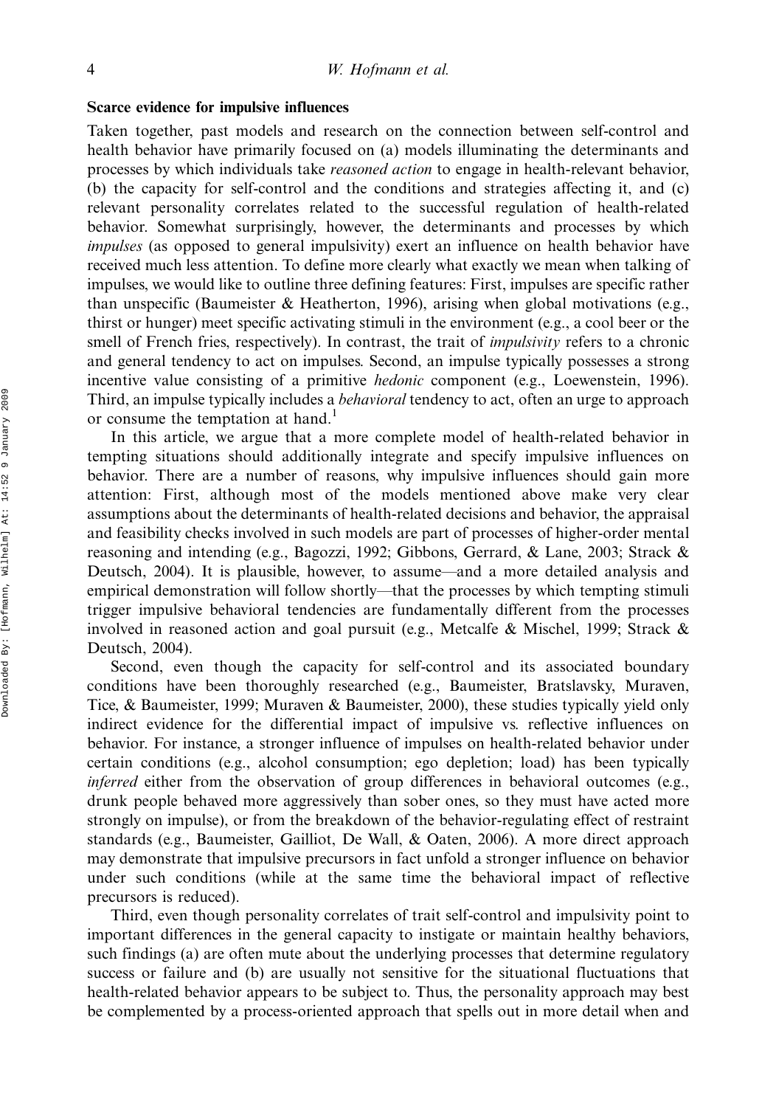## Scarce evidence for impulsive influences

Taken together, past models and research on the connection between self-control and health behavior have primarily focused on (a) models illuminating the determinants and processes by which individuals take reasoned action to engage in health-relevant behavior, (b) the capacity for self-control and the conditions and strategies affecting it, and (c) relevant personality correlates related to the successful regulation of health-related behavior. Somewhat surprisingly, however, the determinants and processes by which impulses (as opposed to general impulsivity) exert an influence on health behavior have received much less attention. To define more clearly what exactly we mean when talking of impulses, we would like to outline three defining features: First, impulses are specific rather than unspecific (Baumeister & Heatherton, 1996), arising when global motivations (e.g., thirst or hunger) meet specific activating stimuli in the environment (e.g., a cool beer or the smell of French fries, respectively). In contrast, the trait of *impulsivity* refers to a chronic and general tendency to act on impulses. Second, an impulse typically possesses a strong incentive value consisting of a primitive *hedonic* component (e.g., Loewenstein, 1996). Third, an impulse typically includes a behavioral tendency to act, often an urge to approach or consume the temptation at hand.<sup>1</sup>

In this article, we argue that a more complete model of health-related behavior in tempting situations should additionally integrate and specify impulsive influences on behavior. There are a number of reasons, why impulsive influences should gain more attention: First, although most of the models mentioned above make very clear assumptions about the determinants of health-related decisions and behavior, the appraisal and feasibility checks involved in such models are part of processes of higher-order mental reasoning and intending (e.g., Bagozzi, 1992; Gibbons, Gerrard, & Lane, 2003; Strack & Deutsch, 2004). It is plausible, however, to assume—and a more detailed analysis and empirical demonstration will follow shortly-that the processes by which tempting stimuli trigger impulsive behavioral tendencies are fundamentally different from the processes involved in reasoned action and goal pursuit (e.g., Metcalfe & Mischel, 1999; Strack & Deutsch, 2004).

Second, even though the capacity for self-control and its associated boundary conditions have been thoroughly researched (e.g., Baumeister, Bratslavsky, Muraven, Tice, & Baumeister, 1999; Muraven & Baumeister, 2000), these studies typically yield only indirect evidence for the differential impact of impulsive vs. reflective influences on behavior. For instance, a stronger influence of impulses on health-related behavior under certain conditions (e.g., alcohol consumption; ego depletion; load) has been typically inferred either from the observation of group differences in behavioral outcomes (e.g., drunk people behaved more aggressively than sober ones, so they must have acted more strongly on impulse), or from the breakdown of the behavior-regulating effect of restraint standards (e.g., Baumeister, Gailliot, De Wall, & Oaten, 2006). A more direct approach may demonstrate that impulsive precursors in fact unfold a stronger influence on behavior under such conditions (while at the same time the behavioral impact of reflective precursors is reduced).

Third, even though personality correlates of trait self-control and impulsivity point to important differences in the general capacity to instigate or maintain healthy behaviors, such findings (a) are often mute about the underlying processes that determine regulatory success or failure and (b) are usually not sensitive for the situational fluctuations that health-related behavior appears to be subject to. Thus, the personality approach may best be complemented by a process-oriented approach that spells out in more detail when and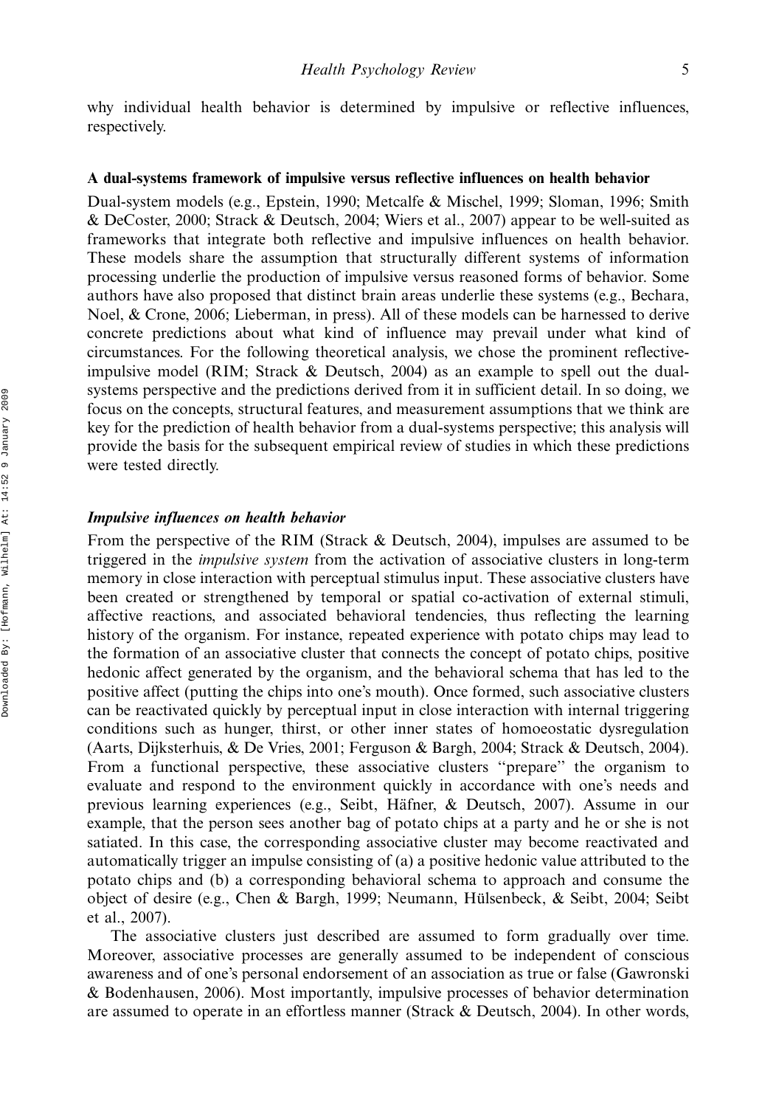why individual health behavior is determined by impulsive or reflective influences, respectively.

#### A dual-systems framework of impulsive versus reflective influences on health behavior

Dual-system models (e.g., Epstein, 1990; Metcalfe & Mischel, 1999; Sloman, 1996; Smith & DeCoster, 2000; Strack & Deutsch, 2004; Wiers et al., 2007) appear to be well-suited as frameworks that integrate both reflective and impulsive influences on health behavior. These models share the assumption that structurally different systems of information processing underlie the production of impulsive versus reasoned forms of behavior. Some authors have also proposed that distinct brain areas underlie these systems (e.g., Bechara, Noel, & Crone, 2006; Lieberman, in press). All of these models can be harnessed to derive concrete predictions about what kind of influence may prevail under what kind of circumstances. For the following theoretical analysis, we chose the prominent reflectiveimpulsive model (RIM; Strack & Deutsch, 2004) as an example to spell out the dualsystems perspective and the predictions derived from it in sufficient detail. In so doing, we focus on the concepts, structural features, and measurement assumptions that we think are key for the prediction of health behavior from a dual-systems perspective; this analysis will provide the basis for the subsequent empirical review of studies in which these predictions were tested directly.

## Impulsive influences on health behavior

From the perspective of the RIM (Strack & Deutsch, 2004), impulses are assumed to be triggered in the impulsive system from the activation of associative clusters in long-term memory in close interaction with perceptual stimulus input. These associative clusters have been created or strengthened by temporal or spatial co-activation of external stimuli, affective reactions, and associated behavioral tendencies, thus reflecting the learning history of the organism. For instance, repeated experience with potato chips may lead to the formation of an associative cluster that connects the concept of potato chips, positive hedonic affect generated by the organism, and the behavioral schema that has led to the positive affect (putting the chips into one's mouth). Once formed, such associative clusters can be reactivated quickly by perceptual input in close interaction with internal triggering conditions such as hunger, thirst, or other inner states of homoeostatic dysregulation (Aarts, Dijksterhuis, & De Vries, 2001; Ferguson & Bargh, 2004; Strack & Deutsch, 2004). From a functional perspective, these associative clusters ''prepare'' the organism to evaluate and respond to the environment quickly in accordance with one's needs and previous learning experiences (e.g., Seibt, Häfner, & Deutsch, 2007). Assume in our example, that the person sees another bag of potato chips at a party and he or she is not satiated. In this case, the corresponding associative cluster may become reactivated and automatically trigger an impulse consisting of (a) a positive hedonic value attributed to the potato chips and (b) a corresponding behavioral schema to approach and consume the object of desire (e.g., Chen & Bargh, 1999; Neumann, Hülsenbeck, & Seibt, 2004; Seibt et al., 2007).

The associative clusters just described are assumed to form gradually over time. Moreover, associative processes are generally assumed to be independent of conscious awareness and of one's personal endorsement of an association as true or false (Gawronski & Bodenhausen, 2006). Most importantly, impulsive processes of behavior determination are assumed to operate in an effortless manner (Strack & Deutsch, 2004). In other words,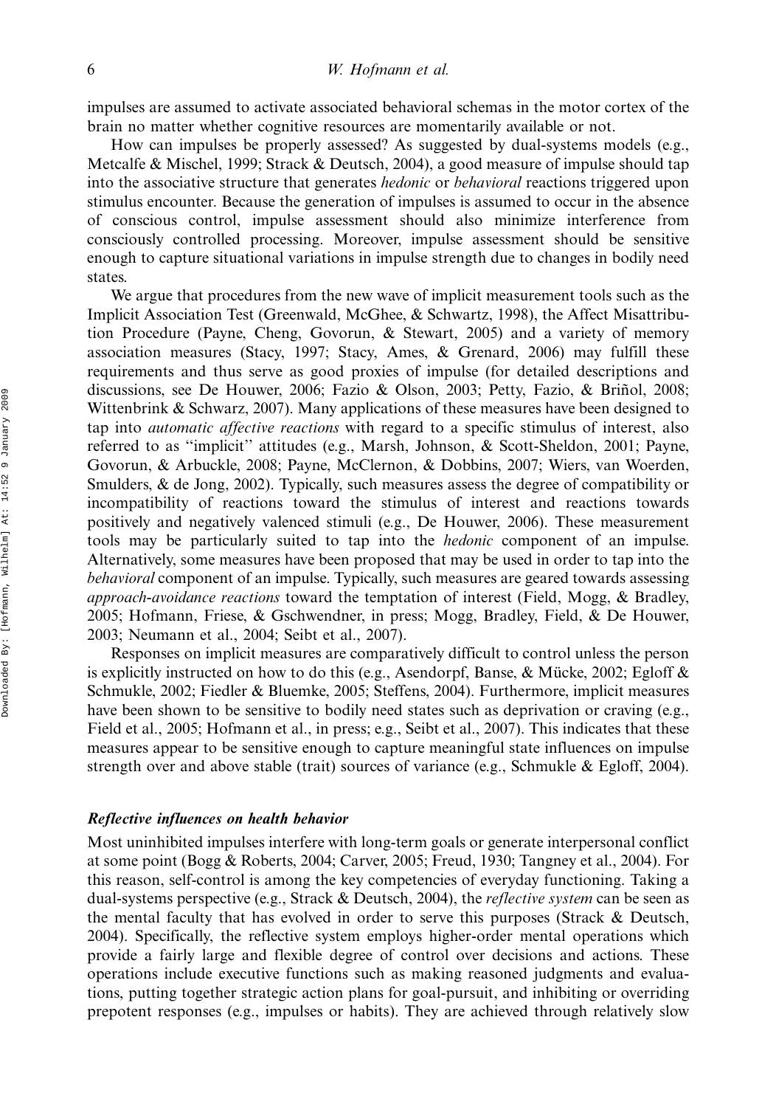impulses are assumed to activate associated behavioral schemas in the motor cortex of the brain no matter whether cognitive resources are momentarily available or not.

How can impulses be properly assessed? As suggested by dual-systems models (e.g., Metcalfe & Mischel, 1999; Strack & Deutsch, 2004), a good measure of impulse should tap into the associative structure that generates hedonic or behavioral reactions triggered upon stimulus encounter. Because the generation of impulses is assumed to occur in the absence of conscious control, impulse assessment should also minimize interference from consciously controlled processing. Moreover, impulse assessment should be sensitive enough to capture situational variations in impulse strength due to changes in bodily need states.

We argue that procedures from the new wave of implicit measurement tools such as the Implicit Association Test (Greenwald, McGhee, & Schwartz, 1998), the Affect Misattribution Procedure (Payne, Cheng, Govorun, & Stewart, 2005) and a variety of memory association measures (Stacy, 1997; Stacy, Ames, & Grenard, 2006) may fulfill these requirements and thus serve as good proxies of impulse (for detailed descriptions and discussions, see De Houwer, 2006; Fazio & Olson, 2003; Petty, Fazio, & Briñol, 2008; Wittenbrink & Schwarz, 2007). Many applications of these measures have been designed to tap into automatic affective reactions with regard to a specific stimulus of interest, also referred to as ''implicit'' attitudes (e.g., Marsh, Johnson, & Scott-Sheldon, 2001; Payne, Govorun, & Arbuckle, 2008; Payne, McClernon, & Dobbins, 2007; Wiers, van Woerden, Smulders, & de Jong, 2002). Typically, such measures assess the degree of compatibility or incompatibility of reactions toward the stimulus of interest and reactions towards positively and negatively valenced stimuli (e.g., De Houwer, 2006). These measurement tools may be particularly suited to tap into the hedonic component of an impulse. Alternatively, some measures have been proposed that may be used in order to tap into the behavioral component of an impulse. Typically, such measures are geared towards assessing approach-avoidance reactions toward the temptation of interest (Field, Mogg, & Bradley, 2005; Hofmann, Friese, & Gschwendner, in press; Mogg, Bradley, Field, & De Houwer, 2003; Neumann et al., 2004; Seibt et al., 2007).

Responses on implicit measures are comparatively difficult to control unless the person is explicitly instructed on how to do this (e.g., Asendorpf, Banse,  $\&$  Mücke, 2002; Egloff  $\&$ Schmukle, 2002; Fiedler & Bluemke, 2005; Steffens, 2004). Furthermore, implicit measures have been shown to be sensitive to bodily need states such as deprivation or craving (e.g., Field et al., 2005; Hofmann et al., in press; e.g., Seibt et al., 2007). This indicates that these measures appear to be sensitive enough to capture meaningful state influences on impulse strength over and above stable (trait) sources of variance (e.g., Schmukle & Egloff, 2004).

#### Reflective influences on health behavior

Most uninhibited impulses interfere with long-term goals or generate interpersonal conflict at some point (Bogg & Roberts, 2004; Carver, 2005; Freud, 1930; Tangney et al., 2004). For this reason, self-control is among the key competencies of everyday functioning. Taking a dual-systems perspective (e.g., Strack  $&$  Deutsch, 2004), the *reflective system* can be seen as the mental faculty that has evolved in order to serve this purposes (Strack & Deutsch, 2004). Specifically, the reflective system employs higher-order mental operations which provide a fairly large and flexible degree of control over decisions and actions. These operations include executive functions such as making reasoned judgments and evaluations, putting together strategic action plans for goal-pursuit, and inhibiting or overriding prepotent responses (e.g., impulses or habits). They are achieved through relatively slow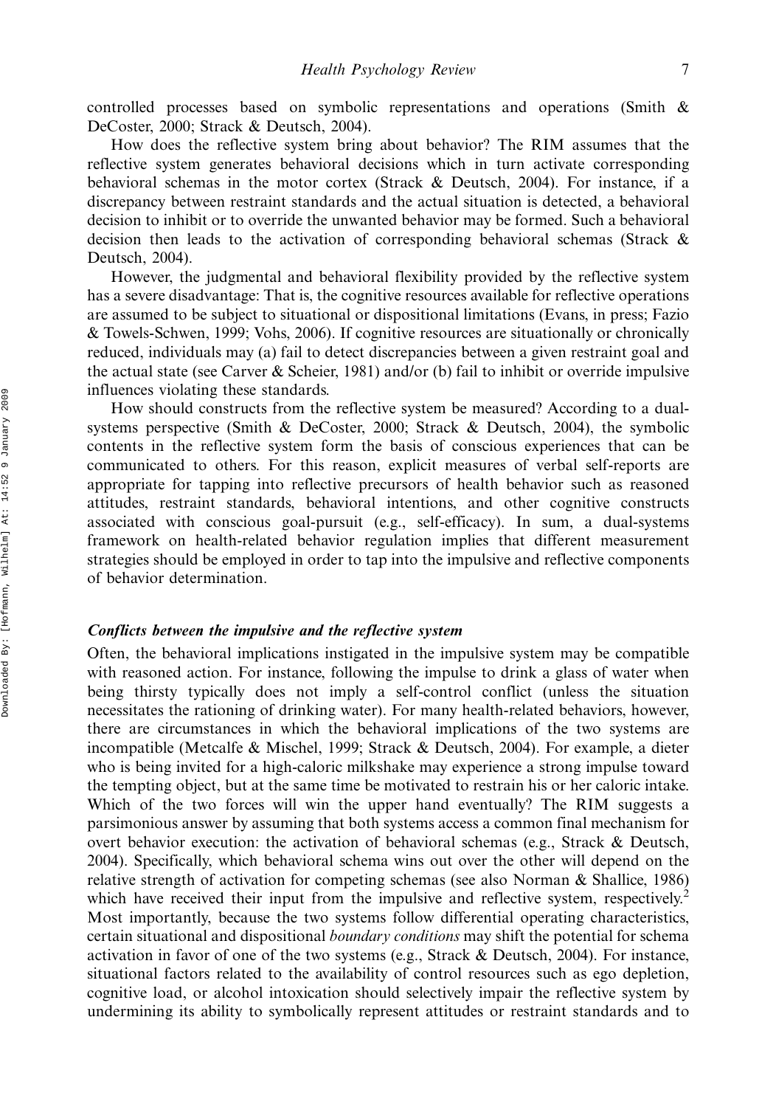controlled processes based on symbolic representations and operations (Smith & DeCoster, 2000; Strack & Deutsch, 2004).

How does the reflective system bring about behavior? The RIM assumes that the reflective system generates behavioral decisions which in turn activate corresponding behavioral schemas in the motor cortex (Strack & Deutsch, 2004). For instance, if a discrepancy between restraint standards and the actual situation is detected, a behavioral decision to inhibit or to override the unwanted behavior may be formed. Such a behavioral decision then leads to the activation of corresponding behavioral schemas (Strack & Deutsch, 2004).

However, the judgmental and behavioral flexibility provided by the reflective system has a severe disadvantage: That is, the cognitive resources available for reflective operations are assumed to be subject to situational or dispositional limitations (Evans, in press; Fazio & Towels-Schwen, 1999; Vohs, 2006). If cognitive resources are situationally or chronically reduced, individuals may (a) fail to detect discrepancies between a given restraint goal and the actual state (see Carver & Scheier, 1981) and/or (b) fail to inhibit or override impulsive influences violating these standards.

How should constructs from the reflective system be measured? According to a dualsystems perspective (Smith & DeCoster, 2000; Strack & Deutsch, 2004), the symbolic contents in the reflective system form the basis of conscious experiences that can be communicated to others. For this reason, explicit measures of verbal self-reports are appropriate for tapping into reflective precursors of health behavior such as reasoned attitudes, restraint standards, behavioral intentions, and other cognitive constructs associated with conscious goal-pursuit (e.g., self-efficacy). In sum, a dual-systems framework on health-related behavior regulation implies that different measurement strategies should be employed in order to tap into the impulsive and reflective components of behavior determination.

#### Conflicts between the impulsive and the reflective system

Often, the behavioral implications instigated in the impulsive system may be compatible with reasoned action. For instance, following the impulse to drink a glass of water when being thirsty typically does not imply a self-control conflict (unless the situation necessitates the rationing of drinking water). For many health-related behaviors, however, there are circumstances in which the behavioral implications of the two systems are incompatible (Metcalfe & Mischel, 1999; Strack & Deutsch, 2004). For example, a dieter who is being invited for a high-caloric milkshake may experience a strong impulse toward the tempting object, but at the same time be motivated to restrain his or her caloric intake. Which of the two forces will win the upper hand eventually? The RIM suggests a parsimonious answer by assuming that both systems access a common final mechanism for overt behavior execution: the activation of behavioral schemas (e.g., Strack & Deutsch, 2004). Specifically, which behavioral schema wins out over the other will depend on the relative strength of activation for competing schemas (see also Norman & Shallice, 1986) which have received their input from the impulsive and reflective system, respectively.<sup>2</sup> Most importantly, because the two systems follow differential operating characteristics, certain situational and dispositional boundary conditions may shift the potential for schema activation in favor of one of the two systems (e.g., Strack & Deutsch, 2004). For instance, situational factors related to the availability of control resources such as ego depletion, cognitive load, or alcohol intoxication should selectively impair the reflective system by undermining its ability to symbolically represent attitudes or restraint standards and to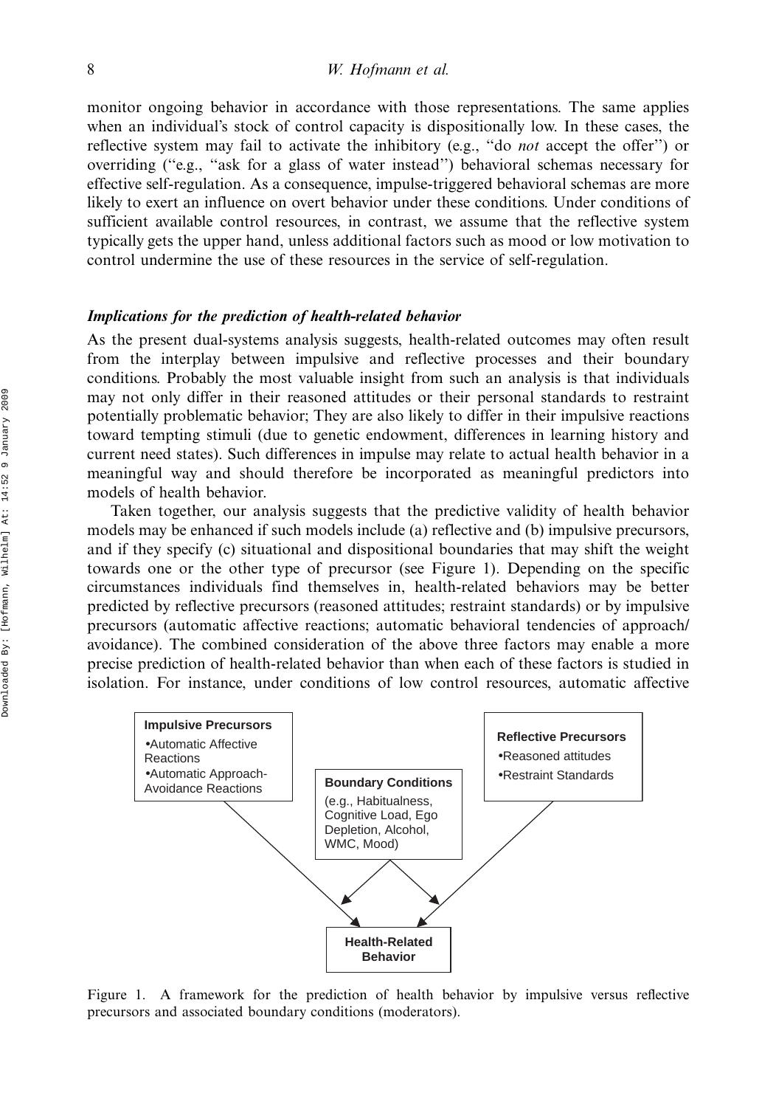monitor ongoing behavior in accordance with those representations. The same applies when an individual's stock of control capacity is dispositionally low. In these cases, the reflective system may fail to activate the inhibitory (e.g., "do *not* accept the offer") or overriding (''e.g., ''ask for a glass of water instead'') behavioral schemas necessary for effective self-regulation. As a consequence, impulse-triggered behavioral schemas are more likely to exert an influence on overt behavior under these conditions. Under conditions of sufficient available control resources, in contrast, we assume that the reflective system typically gets the upper hand, unless additional factors such as mood or low motivation to control undermine the use of these resources in the service of self-regulation.

## Implications for the prediction of health-related behavior

As the present dual-systems analysis suggests, health-related outcomes may often result from the interplay between impulsive and reflective processes and their boundary conditions. Probably the most valuable insight from such an analysis is that individuals may not only differ in their reasoned attitudes or their personal standards to restraint potentially problematic behavior; They are also likely to differ in their impulsive reactions toward tempting stimuli (due to genetic endowment, differences in learning history and current need states). Such differences in impulse may relate to actual health behavior in a meaningful way and should therefore be incorporated as meaningful predictors into models of health behavior.

Taken together, our analysis suggests that the predictive validity of health behavior models may be enhanced if such models include (a) reflective and (b) impulsive precursors, and if they specify (c) situational and dispositional boundaries that may shift the weight towards one or the other type of precursor (see Figure 1). Depending on the specific circumstances individuals find themselves in, health-related behaviors may be better predicted by reflective precursors (reasoned attitudes; restraint standards) or by impulsive precursors (automatic affective reactions; automatic behavioral tendencies of approach/ avoidance). The combined consideration of the above three factors may enable a more precise prediction of health-related behavior than when each of these factors is studied in isolation. For instance, under conditions of low control resources, automatic affective



Figure 1. A framework for the prediction of health behavior by impulsive versus reflective precursors and associated boundary conditions (moderators).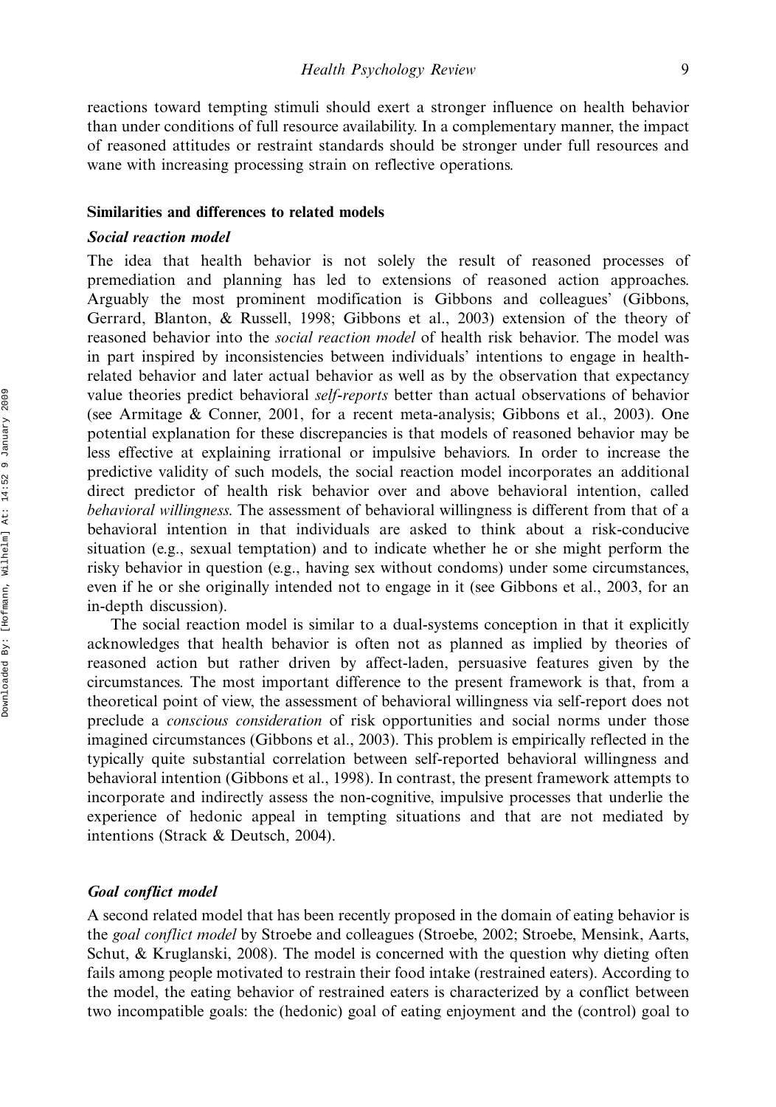reactions toward tempting stimuli should exert a stronger influence on health behavior than under conditions of full resource availability. In a complementary manner, the impact of reasoned attitudes or restraint standards should be stronger under full resources and wane with increasing processing strain on reflective operations.

#### Similarities and differences to related models

#### Social reaction model

The idea that health behavior is not solely the result of reasoned processes of premediation and planning has led to extensions of reasoned action approaches. Arguably the most prominent modification is Gibbons and colleagues' (Gibbons, Gerrard, Blanton, & Russell, 1998; Gibbons et al., 2003) extension of the theory of reasoned behavior into the social reaction model of health risk behavior. The model was in part inspired by inconsistencies between individuals' intentions to engage in healthrelated behavior and later actual behavior as well as by the observation that expectancy value theories predict behavioral self-reports better than actual observations of behavior (see Armitage & Conner, 2001, for a recent meta-analysis; Gibbons et al., 2003). One potential explanation for these discrepancies is that models of reasoned behavior may be less effective at explaining irrational or impulsive behaviors. In order to increase the predictive validity of such models, the social reaction model incorporates an additional direct predictor of health risk behavior over and above behavioral intention, called behavioral willingness. The assessment of behavioral willingness is different from that of a behavioral intention in that individuals are asked to think about a risk-conducive situation (e.g., sexual temptation) and to indicate whether he or she might perform the risky behavior in question (e.g., having sex without condoms) under some circumstances, even if he or she originally intended not to engage in it (see Gibbons et al., 2003, for an in-depth discussion).

The social reaction model is similar to a dual-systems conception in that it explicitly acknowledges that health behavior is often not as planned as implied by theories of reasoned action but rather driven by affect-laden, persuasive features given by the circumstances. The most important difference to the present framework is that, from a theoretical point of view, the assessment of behavioral willingness via self-report does not preclude a conscious consideration of risk opportunities and social norms under those imagined circumstances (Gibbons et al., 2003). This problem is empirically reflected in the typically quite substantial correlation between self-reported behavioral willingness and behavioral intention (Gibbons et al., 1998). In contrast, the present framework attempts to incorporate and indirectly assess the non-cognitive, impulsive processes that underlie the experience of hedonic appeal in tempting situations and that are not mediated by intentions (Strack & Deutsch, 2004).

#### Goal conflict model

A second related model that has been recently proposed in the domain of eating behavior is the goal conflict model by Stroebe and colleagues (Stroebe, 2002; Stroebe, Mensink, Aarts, Schut, & Kruglanski, 2008). The model is concerned with the question why dieting often fails among people motivated to restrain their food intake (restrained eaters). According to the model, the eating behavior of restrained eaters is characterized by a conflict between two incompatible goals: the (hedonic) goal of eating enjoyment and the (control) goal to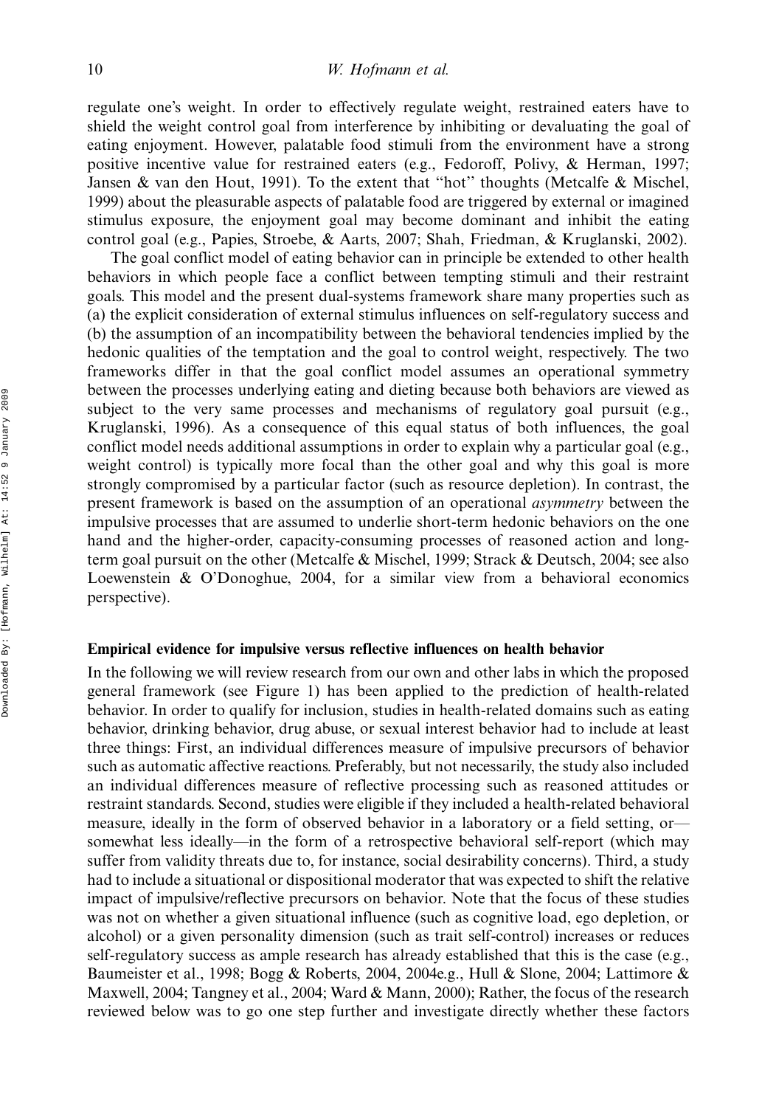regulate one's weight. In order to effectively regulate weight, restrained eaters have to shield the weight control goal from interference by inhibiting or devaluating the goal of eating enjoyment. However, palatable food stimuli from the environment have a strong positive incentive value for restrained eaters (e.g., Fedoroff, Polivy, & Herman, 1997; Jansen & van den Hout, 1991). To the extent that ''hot'' thoughts (Metcalfe & Mischel, 1999) about the pleasurable aspects of palatable food are triggered by external or imagined stimulus exposure, the enjoyment goal may become dominant and inhibit the eating control goal (e.g., Papies, Stroebe, & Aarts, 2007; Shah, Friedman, & Kruglanski, 2002).

The goal conflict model of eating behavior can in principle be extended to other health behaviors in which people face a conflict between tempting stimuli and their restraint goals. This model and the present dual-systems framework share many properties such as (a) the explicit consideration of external stimulus influences on self-regulatory success and (b) the assumption of an incompatibility between the behavioral tendencies implied by the hedonic qualities of the temptation and the goal to control weight, respectively. The two frameworks differ in that the goal conflict model assumes an operational symmetry between the processes underlying eating and dieting because both behaviors are viewed as subject to the very same processes and mechanisms of regulatory goal pursuit (e.g., Kruglanski, 1996). As a consequence of this equal status of both influences, the goal conflict model needs additional assumptions in order to explain why a particular goal (e.g., weight control) is typically more focal than the other goal and why this goal is more strongly compromised by a particular factor (such as resource depletion). In contrast, the present framework is based on the assumption of an operational asymmetry between the impulsive processes that are assumed to underlie short-term hedonic behaviors on the one hand and the higher-order, capacity-consuming processes of reasoned action and longterm goal pursuit on the other (Metcalfe & Mischel, 1999; Strack & Deutsch, 2004; see also Loewenstein & O'Donoghue, 2004, for a similar view from a behavioral economics perspective).

#### Empirical evidence for impulsive versus reflective influences on health behavior

In the following we will review research from our own and other labs in which the proposed general framework (see Figure 1) has been applied to the prediction of health-related behavior. In order to qualify for inclusion, studies in health-related domains such as eating behavior, drinking behavior, drug abuse, or sexual interest behavior had to include at least three things: First, an individual differences measure of impulsive precursors of behavior such as automatic affective reactions. Preferably, but not necessarily, the study also included an individual differences measure of reflective processing such as reasoned attitudes or restraint standards. Second, studies were eligible if they included a health-related behavioral measure, ideally in the form of observed behavior in a laboratory or a field setting, or\* somewhat less ideally—in the form of a retrospective behavioral self-report (which may suffer from validity threats due to, for instance, social desirability concerns). Third, a study had to include a situational or dispositional moderator that was expected to shift the relative impact of impulsive/reflective precursors on behavior. Note that the focus of these studies was not on whether a given situational influence (such as cognitive load, ego depletion, or alcohol) or a given personality dimension (such as trait self-control) increases or reduces self-regulatory success as ample research has already established that this is the case (e.g., Baumeister et al., 1998; Bogg & Roberts, 2004, 2004e.g., Hull & Slone, 2004; Lattimore & Maxwell, 2004; Tangney et al., 2004; Ward & Mann, 2000); Rather, the focus of the research reviewed below was to go one step further and investigate directly whether these factors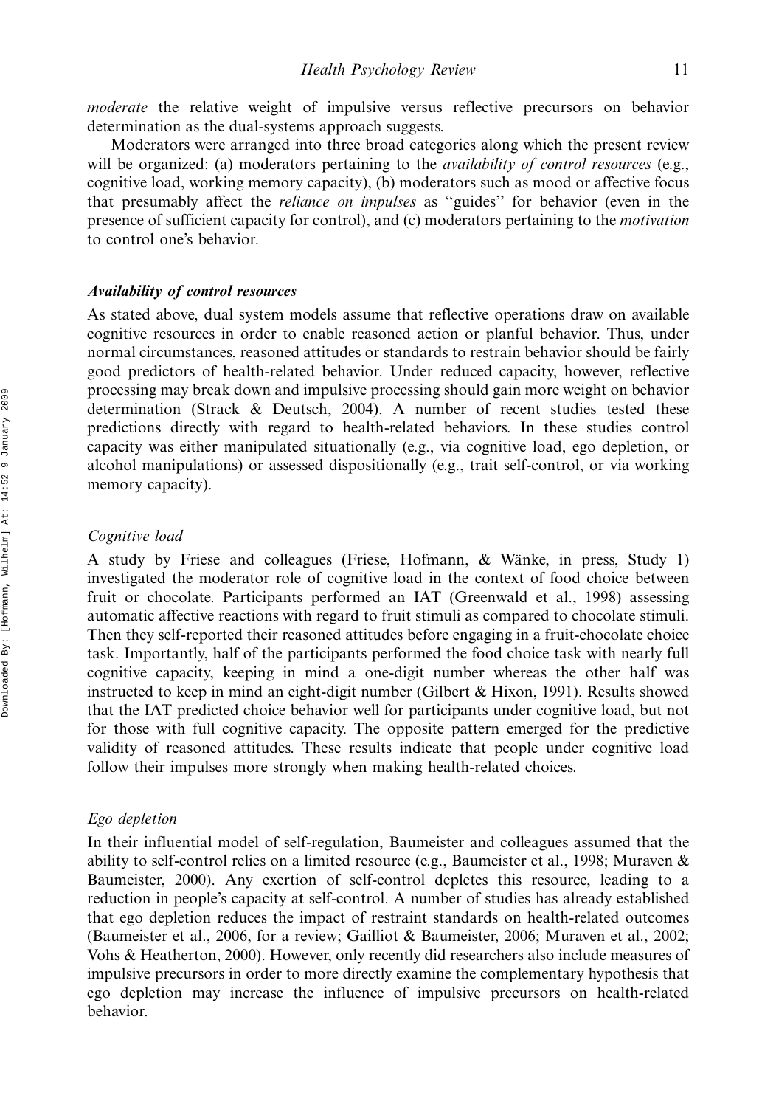moderate the relative weight of impulsive versus reflective precursors on behavior determination as the dual-systems approach suggests.

Moderators were arranged into three broad categories along which the present review will be organized: (a) moderators pertaining to the *availability of control resources* (e.g., cognitive load, working memory capacity), (b) moderators such as mood or affective focus that presumably affect the *reliance on impulses* as "guides" for behavior (even in the presence of sufficient capacity for control), and (c) moderators pertaining to the motivation to control one's behavior.

### Availability of control resources

As stated above, dual system models assume that reflective operations draw on available cognitive resources in order to enable reasoned action or planful behavior. Thus, under normal circumstances, reasoned attitudes or standards to restrain behavior should be fairly good predictors of health-related behavior. Under reduced capacity, however, reflective processing may break down and impulsive processing should gain more weight on behavior determination (Strack & Deutsch, 2004). A number of recent studies tested these predictions directly with regard to health-related behaviors. In these studies control capacity was either manipulated situationally (e.g., via cognitive load, ego depletion, or alcohol manipulations) or assessed dispositionally (e.g., trait self-control, or via working memory capacity).

## Cognitive load

A study by Friese and colleagues (Friese, Hofmann, & Wänke, in press, Study 1) investigated the moderator role of cognitive load in the context of food choice between fruit or chocolate. Participants performed an IAT (Greenwald et al., 1998) assessing automatic affective reactions with regard to fruit stimuli as compared to chocolate stimuli. Then they self-reported their reasoned attitudes before engaging in a fruit-chocolate choice task. Importantly, half of the participants performed the food choice task with nearly full cognitive capacity, keeping in mind a one-digit number whereas the other half was instructed to keep in mind an eight-digit number (Gilbert & Hixon, 1991). Results showed that the IAT predicted choice behavior well for participants under cognitive load, but not for those with full cognitive capacity. The opposite pattern emerged for the predictive validity of reasoned attitudes. These results indicate that people under cognitive load follow their impulses more strongly when making health-related choices.

#### Ego depletion

In their influential model of self-regulation, Baumeister and colleagues assumed that the ability to self-control relies on a limited resource (e.g., Baumeister et al., 1998; Muraven & Baumeister, 2000). Any exertion of self-control depletes this resource, leading to a reduction in people's capacity at self-control. A number of studies has already established that ego depletion reduces the impact of restraint standards on health-related outcomes (Baumeister et al., 2006, for a review; Gailliot & Baumeister, 2006; Muraven et al., 2002; Vohs & Heatherton, 2000). However, only recently did researchers also include measures of impulsive precursors in order to more directly examine the complementary hypothesis that ego depletion may increase the influence of impulsive precursors on health-related behavior.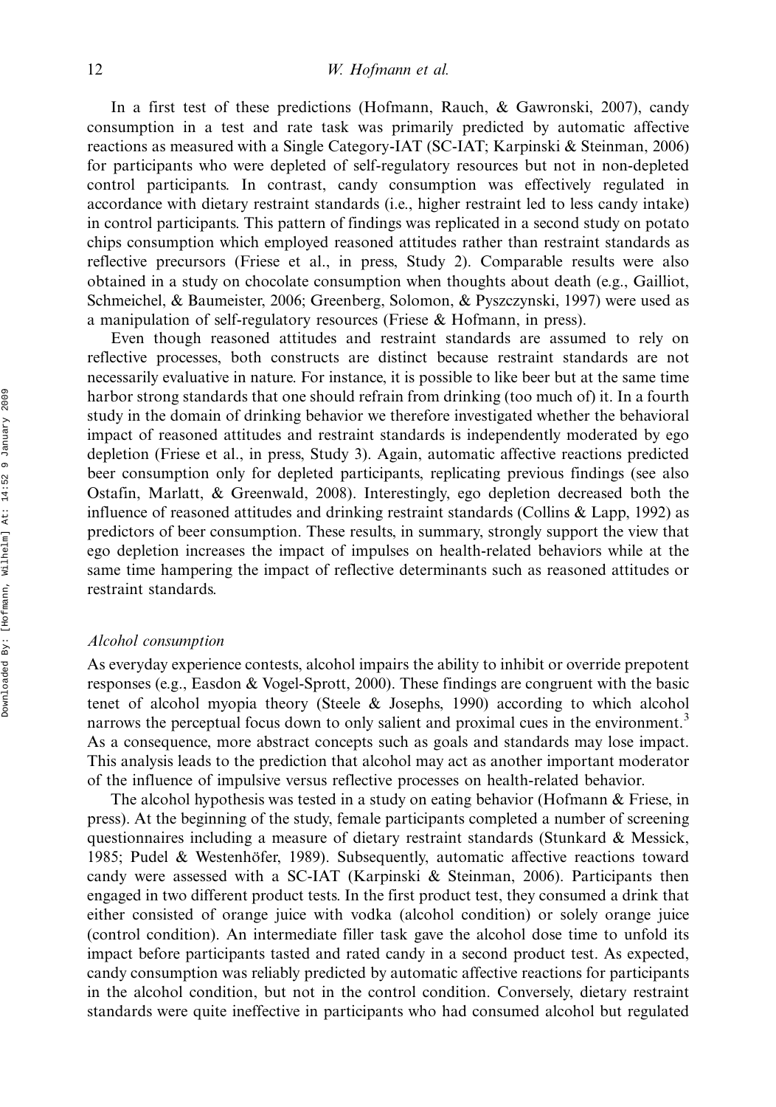In a first test of these predictions (Hofmann, Rauch, & Gawronski, 2007), candy consumption in a test and rate task was primarily predicted by automatic affective reactions as measured with a Single Category-IAT (SC-IAT; Karpinski & Steinman, 2006) for participants who were depleted of self-regulatory resources but not in non-depleted control participants. In contrast, candy consumption was effectively regulated in accordance with dietary restraint standards (i.e., higher restraint led to less candy intake) in control participants. This pattern of findings was replicated in a second study on potato chips consumption which employed reasoned attitudes rather than restraint standards as reflective precursors (Friese et al., in press, Study 2). Comparable results were also obtained in a study on chocolate consumption when thoughts about death (e.g., Gailliot, Schmeichel, & Baumeister, 2006; Greenberg, Solomon, & Pyszczynski, 1997) were used as a manipulation of self-regulatory resources (Friese & Hofmann, in press).

Even though reasoned attitudes and restraint standards are assumed to rely on reflective processes, both constructs are distinct because restraint standards are not necessarily evaluative in nature. For instance, it is possible to like beer but at the same time harbor strong standards that one should refrain from drinking (too much of) it. In a fourth study in the domain of drinking behavior we therefore investigated whether the behavioral impact of reasoned attitudes and restraint standards is independently moderated by ego depletion (Friese et al., in press, Study 3). Again, automatic affective reactions predicted beer consumption only for depleted participants, replicating previous findings (see also Ostafin, Marlatt, & Greenwald, 2008). Interestingly, ego depletion decreased both the influence of reasoned attitudes and drinking restraint standards (Collins & Lapp, 1992) as predictors of beer consumption. These results, in summary, strongly support the view that ego depletion increases the impact of impulses on health-related behaviors while at the same time hampering the impact of reflective determinants such as reasoned attitudes or restraint standards.

#### Alcohol consumption

As everyday experience contests, alcohol impairs the ability to inhibit or override prepotent responses (e.g., Easdon & Vogel-Sprott, 2000). These findings are congruent with the basic tenet of alcohol myopia theory (Steele & Josephs, 1990) according to which alcohol narrows the perceptual focus down to only salient and proximal cues in the environment.<sup>3</sup> As a consequence, more abstract concepts such as goals and standards may lose impact. This analysis leads to the prediction that alcohol may act as another important moderator of the influence of impulsive versus reflective processes on health-related behavior.

The alcohol hypothesis was tested in a study on eating behavior (Hofmann & Friese, in press). At the beginning of the study, female participants completed a number of screening questionnaires including a measure of dietary restraint standards (Stunkard & Messick, 1985; Pudel & Westenhöfer, 1989). Subsequently, automatic affective reactions toward candy were assessed with a SC-IAT (Karpinski & Steinman, 2006). Participants then engaged in two different product tests. In the first product test, they consumed a drink that either consisted of orange juice with vodka (alcohol condition) or solely orange juice (control condition). An intermediate filler task gave the alcohol dose time to unfold its impact before participants tasted and rated candy in a second product test. As expected, candy consumption was reliably predicted by automatic affective reactions for participants in the alcohol condition, but not in the control condition. Conversely, dietary restraint standards were quite ineffective in participants who had consumed alcohol but regulated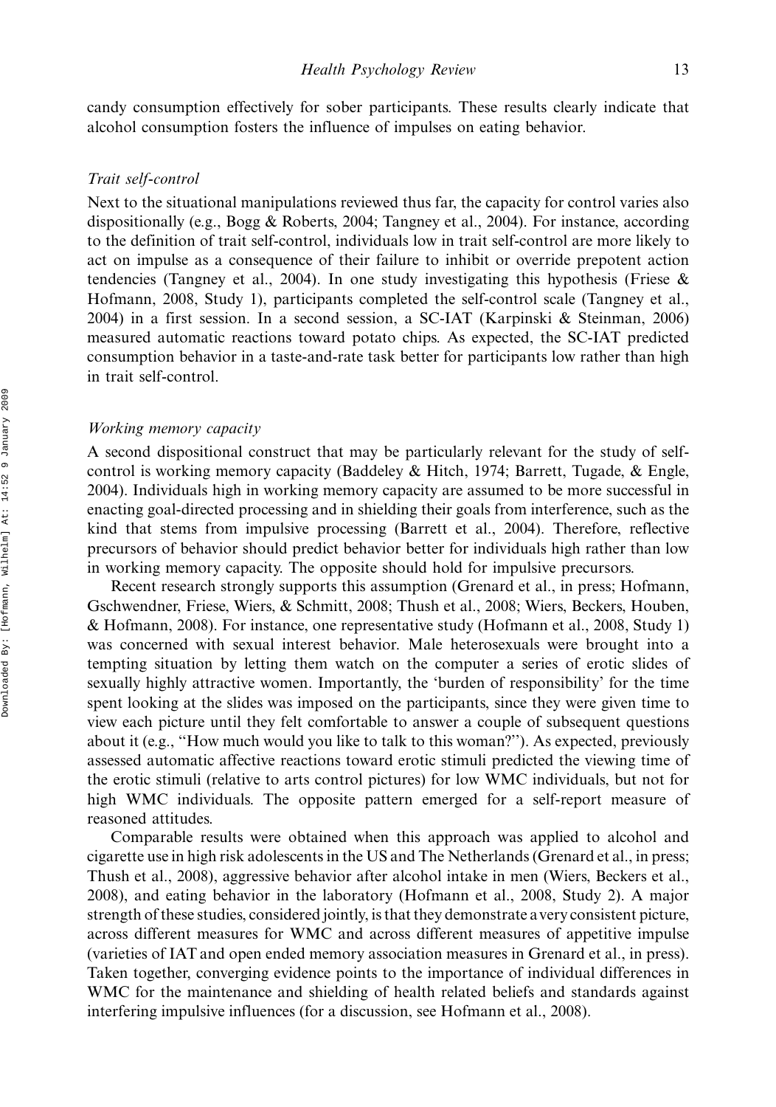candy consumption effectively for sober participants. These results clearly indicate that alcohol consumption fosters the influence of impulses on eating behavior.

### Trait self-control

Next to the situational manipulations reviewed thus far, the capacity for control varies also dispositionally (e.g., Bogg & Roberts, 2004; Tangney et al., 2004). For instance, according to the definition of trait self-control, individuals low in trait self-control are more likely to act on impulse as a consequence of their failure to inhibit or override prepotent action tendencies (Tangney et al., 2004). In one study investigating this hypothesis (Friese  $\&$ Hofmann, 2008, Study 1), participants completed the self-control scale (Tangney et al., 2004) in a first session. In a second session, a SC-IAT (Karpinski & Steinman, 2006) measured automatic reactions toward potato chips. As expected, the SC-IAT predicted consumption behavior in a taste-and-rate task better for participants low rather than high in trait self-control.

#### Working memory capacity

A second dispositional construct that may be particularly relevant for the study of selfcontrol is working memory capacity (Baddeley & Hitch, 1974; Barrett, Tugade, & Engle, 2004). Individuals high in working memory capacity are assumed to be more successful in enacting goal-directed processing and in shielding their goals from interference, such as the kind that stems from impulsive processing (Barrett et al., 2004). Therefore, reflective precursors of behavior should predict behavior better for individuals high rather than low in working memory capacity. The opposite should hold for impulsive precursors.

Recent research strongly supports this assumption (Grenard et al., in press; Hofmann, Gschwendner, Friese, Wiers, & Schmitt, 2008; Thush et al., 2008; Wiers, Beckers, Houben, & Hofmann, 2008). For instance, one representative study (Hofmann et al., 2008, Study 1) was concerned with sexual interest behavior. Male heterosexuals were brought into a tempting situation by letting them watch on the computer a series of erotic slides of sexually highly attractive women. Importantly, the 'burden of responsibility' for the time spent looking at the slides was imposed on the participants, since they were given time to view each picture until they felt comfortable to answer a couple of subsequent questions about it (e.g., "How much would you like to talk to this woman?"). As expected, previously assessed automatic affective reactions toward erotic stimuli predicted the viewing time of the erotic stimuli (relative to arts control pictures) for low WMC individuals, but not for high WMC individuals. The opposite pattern emerged for a self-report measure of reasoned attitudes.

Comparable results were obtained when this approach was applied to alcohol and cigarette use in high risk adolescents in the US and The Netherlands (Grenard et al., in press; Thush et al., 2008), aggressive behavior after alcohol intake in men (Wiers, Beckers et al., 2008), and eating behavior in the laboratory (Hofmann et al., 2008, Study 2). A major strength of these studies, considered jointly, is that they demonstrate avery consistent picture, across different measures for WMC and across different measures of appetitive impulse (varieties of IAT and open ended memory association measures in Grenard et al., in press). Taken together, converging evidence points to the importance of individual differences in WMC for the maintenance and shielding of health related beliefs and standards against interfering impulsive influences (for a discussion, see Hofmann et al., 2008).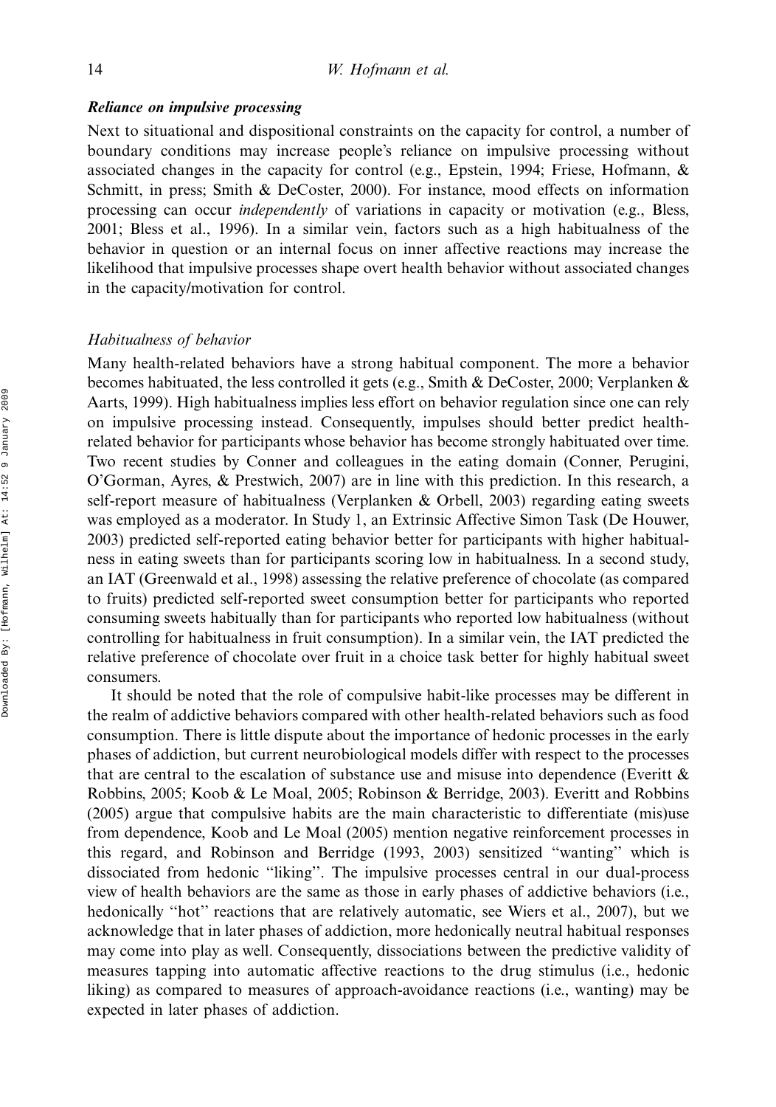## Reliance on impulsive processing

Next to situational and dispositional constraints on the capacity for control, a number of boundary conditions may increase people's reliance on impulsive processing without associated changes in the capacity for control (e.g., Epstein, 1994; Friese, Hofmann, & Schmitt, in press; Smith & DeCoster, 2000). For instance, mood effects on information processing can occur independently of variations in capacity or motivation (e.g., Bless, 2001; Bless et al., 1996). In a similar vein, factors such as a high habitualness of the behavior in question or an internal focus on inner affective reactions may increase the likelihood that impulsive processes shape overt health behavior without associated changes in the capacity/motivation for control.

## Habitualness of behavior

Many health-related behaviors have a strong habitual component. The more a behavior becomes habituated, the less controlled it gets (e.g., Smith & DeCoster, 2000; Verplanken & Aarts, 1999). High habitualness implies less effort on behavior regulation since one can rely on impulsive processing instead. Consequently, impulses should better predict healthrelated behavior for participants whose behavior has become strongly habituated over time. Two recent studies by Conner and colleagues in the eating domain (Conner, Perugini, O'Gorman, Ayres, & Prestwich, 2007) are in line with this prediction. In this research, a self-report measure of habitualness (Verplanken & Orbell, 2003) regarding eating sweets was employed as a moderator. In Study 1, an Extrinsic Affective Simon Task (De Houwer, 2003) predicted self-reported eating behavior better for participants with higher habitualness in eating sweets than for participants scoring low in habitualness. In a second study, an IAT (Greenwald et al., 1998) assessing the relative preference of chocolate (as compared to fruits) predicted self-reported sweet consumption better for participants who reported consuming sweets habitually than for participants who reported low habitualness (without controlling for habitualness in fruit consumption). In a similar vein, the IAT predicted the relative preference of chocolate over fruit in a choice task better for highly habitual sweet consumers.

It should be noted that the role of compulsive habit-like processes may be different in the realm of addictive behaviors compared with other health-related behaviors such as food consumption. There is little dispute about the importance of hedonic processes in the early phases of addiction, but current neurobiological models differ with respect to the processes that are central to the escalation of substance use and misuse into dependence (Everitt & Robbins, 2005; Koob & Le Moal, 2005; Robinson & Berridge, 2003). Everitt and Robbins (2005) argue that compulsive habits are the main characteristic to differentiate (mis)use from dependence, Koob and Le Moal (2005) mention negative reinforcement processes in this regard, and Robinson and Berridge (1993, 2003) sensitized ''wanting'' which is dissociated from hedonic ''liking''. The impulsive processes central in our dual-process view of health behaviors are the same as those in early phases of addictive behaviors (i.e., hedonically ''hot'' reactions that are relatively automatic, see Wiers et al., 2007), but we acknowledge that in later phases of addiction, more hedonically neutral habitual responses may come into play as well. Consequently, dissociations between the predictive validity of measures tapping into automatic affective reactions to the drug stimulus (i.e., hedonic liking) as compared to measures of approach-avoidance reactions (i.e., wanting) may be expected in later phases of addiction.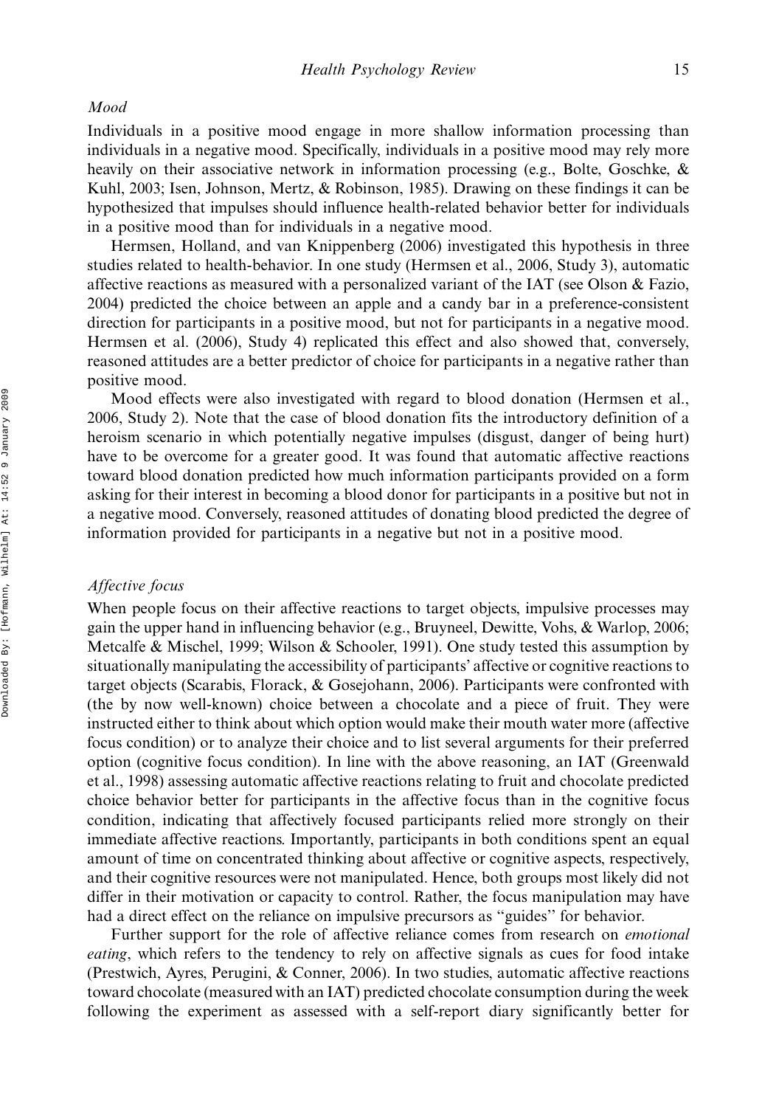## Mood

Individuals in a positive mood engage in more shallow information processing than individuals in a negative mood. Specifically, individuals in a positive mood may rely more heavily on their associative network in information processing (e.g., Bolte, Goschke, & Kuhl, 2003; Isen, Johnson, Mertz, & Robinson, 1985). Drawing on these findings it can be hypothesized that impulses should influence health-related behavior better for individuals in a positive mood than for individuals in a negative mood.

Hermsen, Holland, and van Knippenberg (2006) investigated this hypothesis in three studies related to health-behavior. In one study (Hermsen et al., 2006, Study 3), automatic affective reactions as measured with a personalized variant of the IAT (see Olson & Fazio, 2004) predicted the choice between an apple and a candy bar in a preference-consistent direction for participants in a positive mood, but not for participants in a negative mood. Hermsen et al. (2006), Study 4) replicated this effect and also showed that, conversely, reasoned attitudes are a better predictor of choice for participants in a negative rather than positive mood.

Mood effects were also investigated with regard to blood donation (Hermsen et al., 2006, Study 2). Note that the case of blood donation fits the introductory definition of a heroism scenario in which potentially negative impulses (disgust, danger of being hurt) have to be overcome for a greater good. It was found that automatic affective reactions toward blood donation predicted how much information participants provided on a form asking for their interest in becoming a blood donor for participants in a positive but not in a negative mood. Conversely, reasoned attitudes of donating blood predicted the degree of information provided for participants in a negative but not in a positive mood.

## Affective focus

When people focus on their affective reactions to target objects, impulsive processes may gain the upper hand in influencing behavior (e.g., Bruyneel, Dewitte, Vohs, & Warlop, 2006; Metcalfe & Mischel, 1999; Wilson & Schooler, 1991). One study tested this assumption by situationally manipulating the accessibility of participants' affective or cognitive reactions to target objects (Scarabis, Florack, & Gosejohann, 2006). Participants were confronted with (the by now well-known) choice between a chocolate and a piece of fruit. They were instructed either to think about which option would make their mouth water more (affective focus condition) or to analyze their choice and to list several arguments for their preferred option (cognitive focus condition). In line with the above reasoning, an IAT (Greenwald et al., 1998) assessing automatic affective reactions relating to fruit and chocolate predicted choice behavior better for participants in the affective focus than in the cognitive focus condition, indicating that affectively focused participants relied more strongly on their immediate affective reactions. Importantly, participants in both conditions spent an equal amount of time on concentrated thinking about affective or cognitive aspects, respectively, and their cognitive resources were not manipulated. Hence, both groups most likely did not differ in their motivation or capacity to control. Rather, the focus manipulation may have had a direct effect on the reliance on impulsive precursors as "guides" for behavior.

Further support for the role of affective reliance comes from research on emotional eating, which refers to the tendency to rely on affective signals as cues for food intake (Prestwich, Ayres, Perugini, & Conner, 2006). In two studies, automatic affective reactions toward chocolate (measured with an IAT) predicted chocolate consumption during the week following the experiment as assessed with a self-report diary significantly better for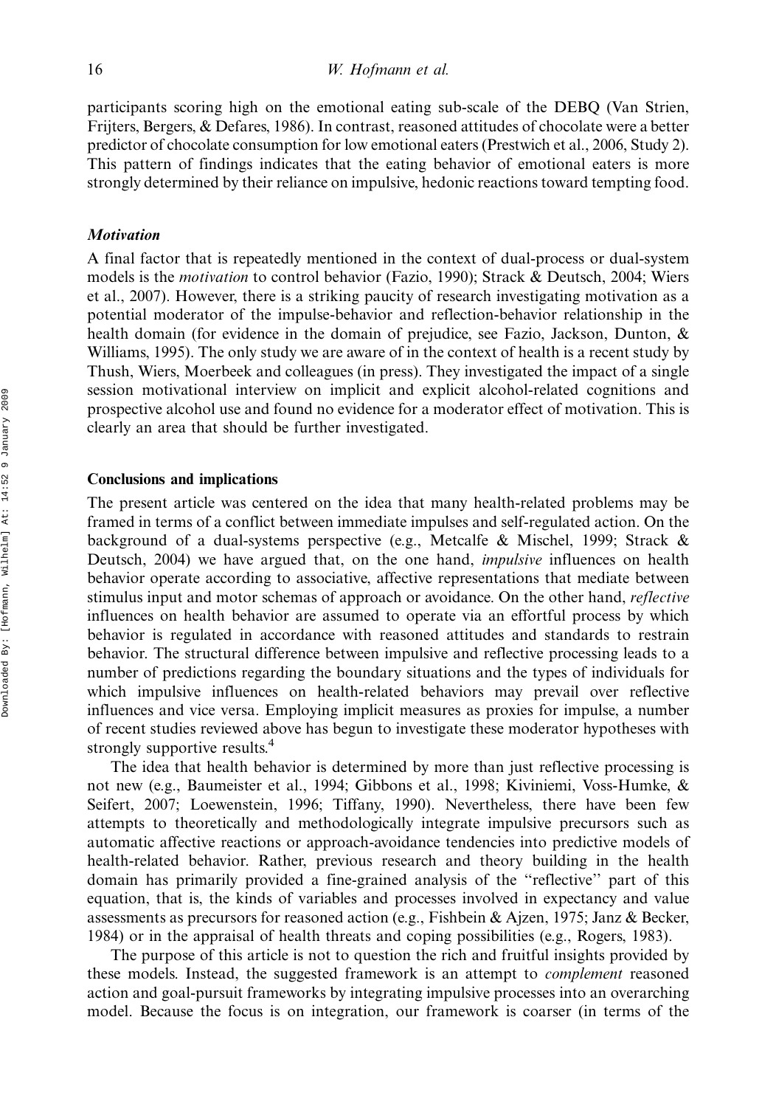participants scoring high on the emotional eating sub-scale of the DEBQ (Van Strien, Frijters, Bergers, & Defares, 1986). In contrast, reasoned attitudes of chocolate were a better predictor of chocolate consumption for low emotional eaters (Prestwich et al., 2006, Study 2). This pattern of findings indicates that the eating behavior of emotional eaters is more strongly determined by their reliance on impulsive, hedonic reactions toward tempting food.

#### Motivation

A final factor that is repeatedly mentioned in the context of dual-process or dual-system models is the motivation to control behavior (Fazio, 1990); Strack & Deutsch, 2004; Wiers et al., 2007). However, there is a striking paucity of research investigating motivation as a potential moderator of the impulse-behavior and reflection-behavior relationship in the health domain (for evidence in the domain of prejudice, see Fazio, Jackson, Dunton, & Williams, 1995). The only study we are aware of in the context of health is a recent study by Thush, Wiers, Moerbeek and colleagues (in press). They investigated the impact of a single session motivational interview on implicit and explicit alcohol-related cognitions and prospective alcohol use and found no evidence for a moderator effect of motivation. This is clearly an area that should be further investigated.

#### Conclusions and implications

The present article was centered on the idea that many health-related problems may be framed in terms of a conflict between immediate impulses and self-regulated action. On the background of a dual-systems perspective (e.g., Metcalfe & Mischel, 1999; Strack & Deutsch, 2004) we have argued that, on the one hand, impulsive influences on health behavior operate according to associative, affective representations that mediate between stimulus input and motor schemas of approach or avoidance. On the other hand, reflective influences on health behavior are assumed to operate via an effortful process by which behavior is regulated in accordance with reasoned attitudes and standards to restrain behavior. The structural difference between impulsive and reflective processing leads to a number of predictions regarding the boundary situations and the types of individuals for which impulsive influences on health-related behaviors may prevail over reflective influences and vice versa. Employing implicit measures as proxies for impulse, a number of recent studies reviewed above has begun to investigate these moderator hypotheses with strongly supportive results.<sup>4</sup>

The idea that health behavior is determined by more than just reflective processing is not new (e.g., Baumeister et al., 1994; Gibbons et al., 1998; Kiviniemi, Voss-Humke, & Seifert, 2007; Loewenstein, 1996; Tiffany, 1990). Nevertheless, there have been few attempts to theoretically and methodologically integrate impulsive precursors such as automatic affective reactions or approach-avoidance tendencies into predictive models of health-related behavior. Rather, previous research and theory building in the health domain has primarily provided a fine-grained analysis of the ''reflective'' part of this equation, that is, the kinds of variables and processes involved in expectancy and value assessments as precursors for reasoned action (e.g., Fishbein & Ajzen, 1975; Janz & Becker, 1984) or in the appraisal of health threats and coping possibilities (e.g., Rogers, 1983).

The purpose of this article is not to question the rich and fruitful insights provided by these models. Instead, the suggested framework is an attempt to complement reasoned action and goal-pursuit frameworks by integrating impulsive processes into an overarching model. Because the focus is on integration, our framework is coarser (in terms of the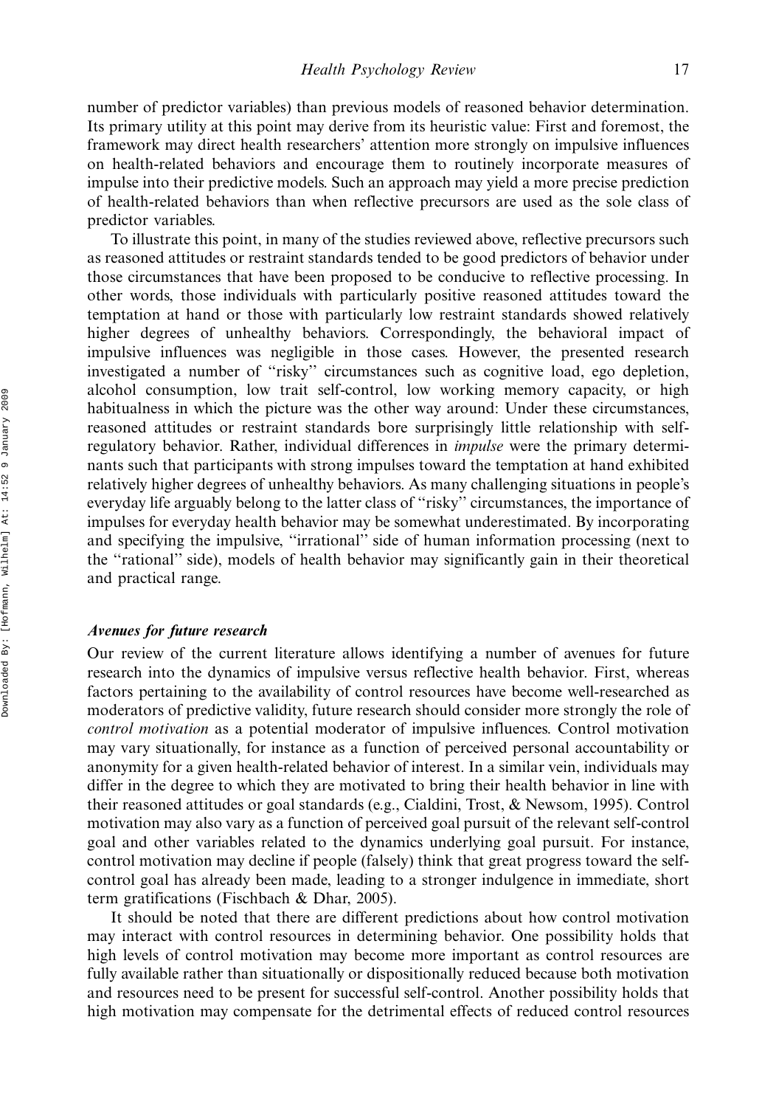number of predictor variables) than previous models of reasoned behavior determination. Its primary utility at this point may derive from its heuristic value: First and foremost, the framework may direct health researchers' attention more strongly on impulsive influences on health-related behaviors and encourage them to routinely incorporate measures of impulse into their predictive models. Such an approach may yield a more precise prediction of health-related behaviors than when reflective precursors are used as the sole class of predictor variables.

To illustrate this point, in many of the studies reviewed above, reflective precursors such as reasoned attitudes or restraint standards tended to be good predictors of behavior under those circumstances that have been proposed to be conducive to reflective processing. In other words, those individuals with particularly positive reasoned attitudes toward the temptation at hand or those with particularly low restraint standards showed relatively higher degrees of unhealthy behaviors. Correspondingly, the behavioral impact of impulsive influences was negligible in those cases. However, the presented research investigated a number of ''risky'' circumstances such as cognitive load, ego depletion, alcohol consumption, low trait self-control, low working memory capacity, or high habitualness in which the picture was the other way around: Under these circumstances, reasoned attitudes or restraint standards bore surprisingly little relationship with selfregulatory behavior. Rather, individual differences in impulse were the primary determinants such that participants with strong impulses toward the temptation at hand exhibited relatively higher degrees of unhealthy behaviors. As many challenging situations in people's everyday life arguably belong to the latter class of ''risky'' circumstances, the importance of impulses for everyday health behavior may be somewhat underestimated. By incorporating and specifying the impulsive, ''irrational'' side of human information processing (next to the ''rational'' side), models of health behavior may significantly gain in their theoretical and practical range.

#### Avenues for future research

Our review of the current literature allows identifying a number of avenues for future research into the dynamics of impulsive versus reflective health behavior. First, whereas factors pertaining to the availability of control resources have become well-researched as moderators of predictive validity, future research should consider more strongly the role of control motivation as a potential moderator of impulsive influences. Control motivation may vary situationally, for instance as a function of perceived personal accountability or anonymity for a given health-related behavior of interest. In a similar vein, individuals may differ in the degree to which they are motivated to bring their health behavior in line with their reasoned attitudes or goal standards (e.g., Cialdini, Trost, & Newsom, 1995). Control motivation may also vary as a function of perceived goal pursuit of the relevant self-control goal and other variables related to the dynamics underlying goal pursuit. For instance, control motivation may decline if people (falsely) think that great progress toward the selfcontrol goal has already been made, leading to a stronger indulgence in immediate, short term gratifications (Fischbach & Dhar, 2005).

It should be noted that there are different predictions about how control motivation may interact with control resources in determining behavior. One possibility holds that high levels of control motivation may become more important as control resources are fully available rather than situationally or dispositionally reduced because both motivation and resources need to be present for successful self-control. Another possibility holds that high motivation may compensate for the detrimental effects of reduced control resources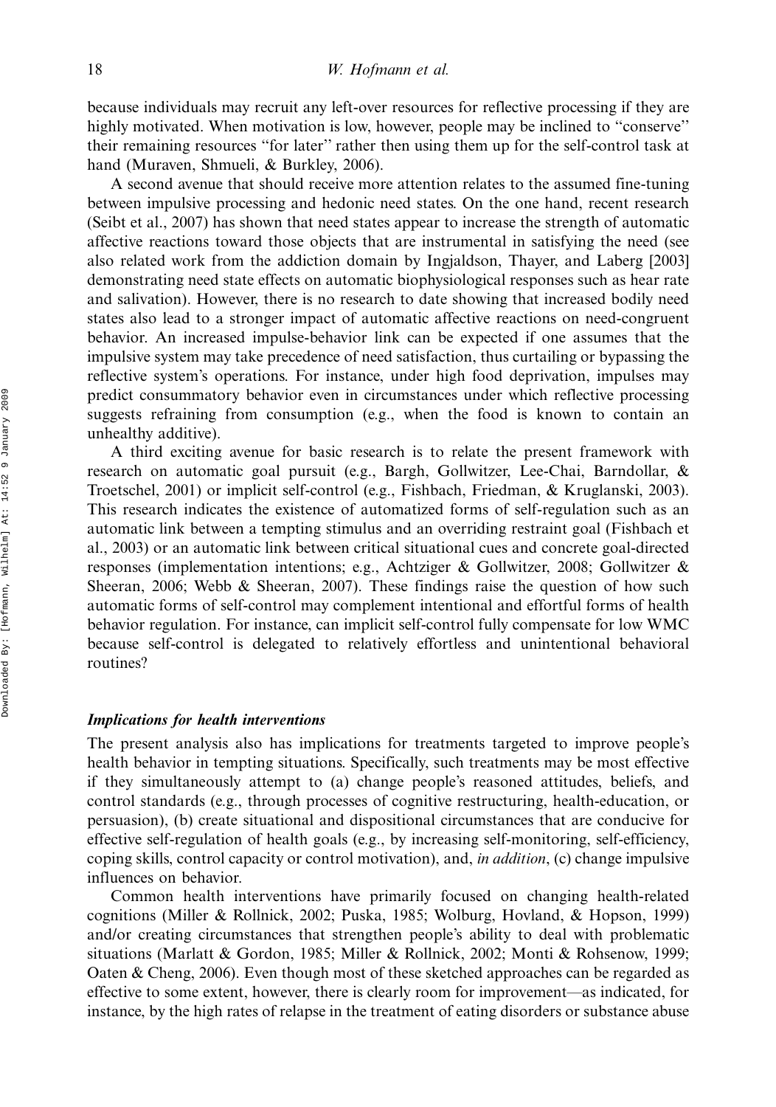because individuals may recruit any left-over resources for reflective processing if they are highly motivated. When motivation is low, however, people may be inclined to ''conserve'' their remaining resources ''for later'' rather then using them up for the self-control task at hand (Muraven, Shmueli, & Burkley, 2006).

A second avenue that should receive more attention relates to the assumed fine-tuning between impulsive processing and hedonic need states. On the one hand, recent research (Seibt et al., 2007) has shown that need states appear to increase the strength of automatic affective reactions toward those objects that are instrumental in satisfying the need (see also related work from the addiction domain by Ingjaldson, Thayer, and Laberg [2003] demonstrating need state effects on automatic biophysiological responses such as hear rate and salivation). However, there is no research to date showing that increased bodily need states also lead to a stronger impact of automatic affective reactions on need-congruent behavior. An increased impulse-behavior link can be expected if one assumes that the impulsive system may take precedence of need satisfaction, thus curtailing or bypassing the reflective system's operations. For instance, under high food deprivation, impulses may predict consummatory behavior even in circumstances under which reflective processing suggests refraining from consumption (e.g., when the food is known to contain an unhealthy additive).

A third exciting avenue for basic research is to relate the present framework with research on automatic goal pursuit (e.g., Bargh, Gollwitzer, Lee-Chai, Barndollar, & Troetschel, 2001) or implicit self-control (e.g., Fishbach, Friedman, & Kruglanski, 2003). This research indicates the existence of automatized forms of self-regulation such as an automatic link between a tempting stimulus and an overriding restraint goal (Fishbach et al., 2003) or an automatic link between critical situational cues and concrete goal-directed responses (implementation intentions; e.g., Achtziger & Gollwitzer, 2008; Gollwitzer & Sheeran, 2006; Webb & Sheeran, 2007). These findings raise the question of how such automatic forms of self-control may complement intentional and effortful forms of health behavior regulation. For instance, can implicit self-control fully compensate for low WMC because self-control is delegated to relatively effortless and unintentional behavioral routines?

#### Implications for health interventions

The present analysis also has implications for treatments targeted to improve people's health behavior in tempting situations. Specifically, such treatments may be most effective if they simultaneously attempt to (a) change people's reasoned attitudes, beliefs, and control standards (e.g., through processes of cognitive restructuring, health-education, or persuasion), (b) create situational and dispositional circumstances that are conducive for effective self-regulation of health goals (e.g., by increasing self-monitoring, self-efficiency, coping skills, control capacity or control motivation), and, *in addition*, (c) change impulsive influences on behavior.

Common health interventions have primarily focused on changing health-related cognitions (Miller & Rollnick, 2002; Puska, 1985; Wolburg, Hovland, & Hopson, 1999) and/or creating circumstances that strengthen people's ability to deal with problematic situations (Marlatt & Gordon, 1985; Miller & Rollnick, 2002; Monti & Rohsenow, 1999; Oaten & Cheng, 2006). Even though most of these sketched approaches can be regarded as effective to some extent, however, there is clearly room for improvement—as indicated, for instance, by the high rates of relapse in the treatment of eating disorders or substance abuse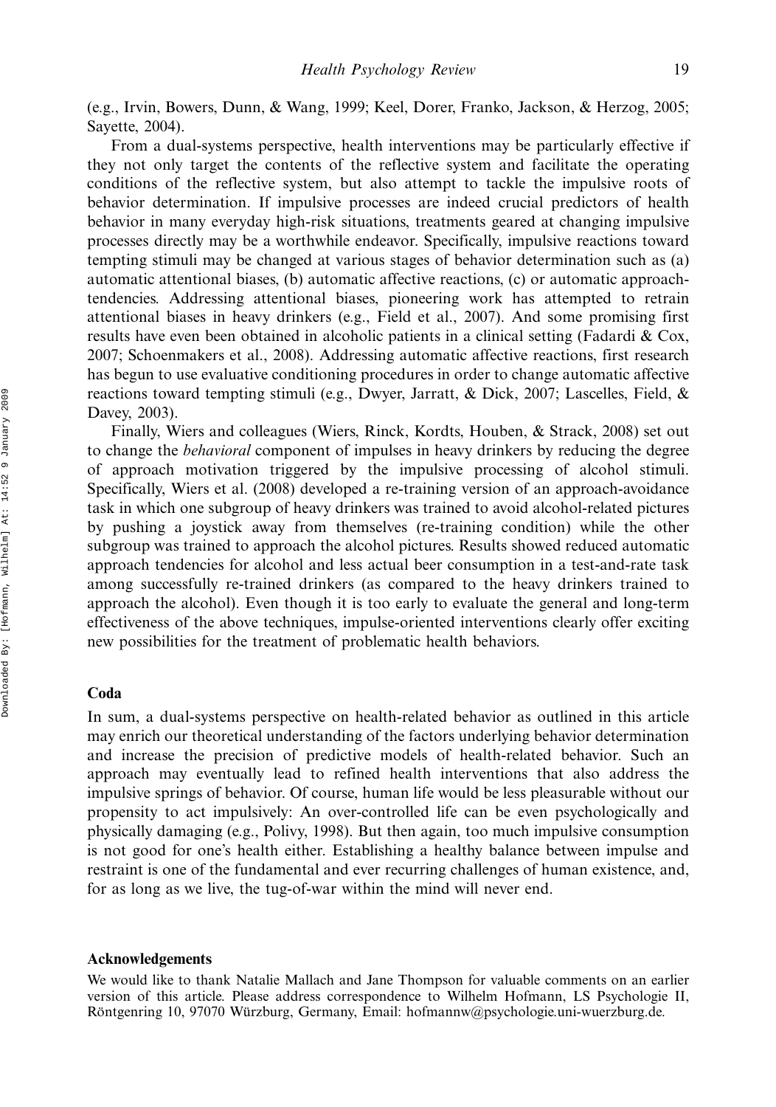(e.g., Irvin, Bowers, Dunn, & Wang, 1999; Keel, Dorer, Franko, Jackson, & Herzog, 2005; Sayette, 2004).

From a dual-systems perspective, health interventions may be particularly effective if they not only target the contents of the reflective system and facilitate the operating conditions of the reflective system, but also attempt to tackle the impulsive roots of behavior determination. If impulsive processes are indeed crucial predictors of health behavior in many everyday high-risk situations, treatments geared at changing impulsive processes directly may be a worthwhile endeavor. Specifically, impulsive reactions toward tempting stimuli may be changed at various stages of behavior determination such as (a) automatic attentional biases, (b) automatic affective reactions, (c) or automatic approachtendencies. Addressing attentional biases, pioneering work has attempted to retrain attentional biases in heavy drinkers (e.g., Field et al., 2007). And some promising first results have even been obtained in alcoholic patients in a clinical setting (Fadardi & Cox, 2007; Schoenmakers et al., 2008). Addressing automatic affective reactions, first research has begun to use evaluative conditioning procedures in order to change automatic affective reactions toward tempting stimuli (e.g., Dwyer, Jarratt, & Dick, 2007; Lascelles, Field, & Davey, 2003).

Finally, Wiers and colleagues (Wiers, Rinck, Kordts, Houben, & Strack, 2008) set out to change the behavioral component of impulses in heavy drinkers by reducing the degree of approach motivation triggered by the impulsive processing of alcohol stimuli. Specifically, Wiers et al. (2008) developed a re-training version of an approach-avoidance task in which one subgroup of heavy drinkers was trained to avoid alcohol-related pictures by pushing a joystick away from themselves (re-training condition) while the other subgroup was trained to approach the alcohol pictures. Results showed reduced automatic approach tendencies for alcohol and less actual beer consumption in a test-and-rate task among successfully re-trained drinkers (as compared to the heavy drinkers trained to approach the alcohol). Even though it is too early to evaluate the general and long-term effectiveness of the above techniques, impulse-oriented interventions clearly offer exciting new possibilities for the treatment of problematic health behaviors.

## Coda

In sum, a dual-systems perspective on health-related behavior as outlined in this article may enrich our theoretical understanding of the factors underlying behavior determination and increase the precision of predictive models of health-related behavior. Such an approach may eventually lead to refined health interventions that also address the impulsive springs of behavior. Of course, human life would be less pleasurable without our propensity to act impulsively: An over-controlled life can be even psychologically and physically damaging (e.g., Polivy, 1998). But then again, too much impulsive consumption is not good for one's health either. Establishing a healthy balance between impulse and restraint is one of the fundamental and ever recurring challenges of human existence, and, for as long as we live, the tug-of-war within the mind will never end.

#### Acknowledgements

We would like to thank Natalie Mallach and Jane Thompson for valuable comments on an earlier version of this article. Please address correspondence to Wilhelm Hofmann, LS Psychologie II, Röntgenring 10, 97070 Würzburg, Germany, Email: hofmannw@psychologie.uni-wuerzburg.de.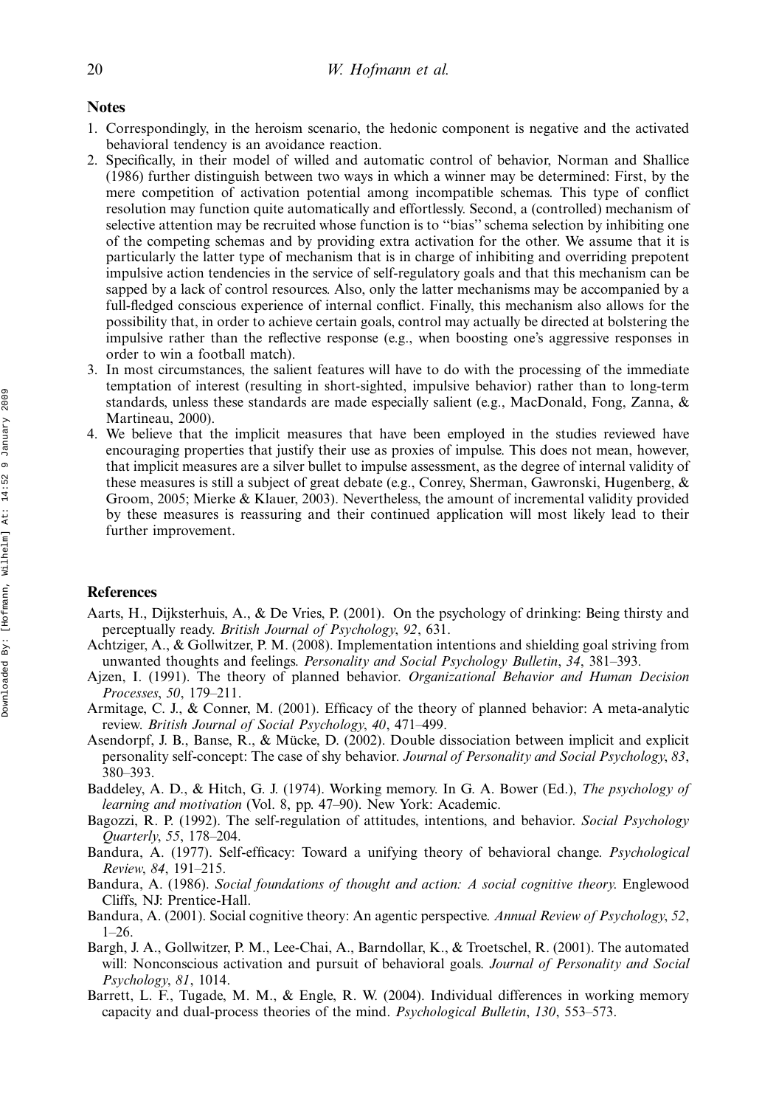#### **Notes**

- 1. Correspondingly, in the heroism scenario, the hedonic component is negative and the activated behavioral tendency is an avoidance reaction.
- 2. Specifically, in their model of willed and automatic control of behavior, Norman and Shallice (1986) further distinguish between two ways in which a winner may be determined: First, by the mere competition of activation potential among incompatible schemas. This type of conflict resolution may function quite automatically and effortlessly. Second, a (controlled) mechanism of selective attention may be recruited whose function is to ''bias'' schema selection by inhibiting one of the competing schemas and by providing extra activation for the other. We assume that it is particularly the latter type of mechanism that is in charge of inhibiting and overriding prepotent impulsive action tendencies in the service of self-regulatory goals and that this mechanism can be sapped by a lack of control resources. Also, only the latter mechanisms may be accompanied by a full-fledged conscious experience of internal conflict. Finally, this mechanism also allows for the possibility that, in order to achieve certain goals, control may actually be directed at bolstering the impulsive rather than the reflective response (e.g., when boosting one's aggressive responses in order to win a football match).
- 3. In most circumstances, the salient features will have to do with the processing of the immediate temptation of interest (resulting in short-sighted, impulsive behavior) rather than to long-term standards, unless these standards are made especially salient (e.g., MacDonald, Fong, Zanna, & Martineau, 2000).
- 4. We believe that the implicit measures that have been employed in the studies reviewed have encouraging properties that justify their use as proxies of impulse. This does not mean, however, that implicit measures are a silver bullet to impulse assessment, as the degree of internal validity of these measures is still a subject of great debate (e.g., Conrey, Sherman, Gawronski, Hugenberg, & Groom, 2005; Mierke & Klauer, 2003). Nevertheless, the amount of incremental validity provided by these measures is reassuring and their continued application will most likely lead to their further improvement.

#### **References**

- Aarts, H., Dijksterhuis, A., & De Vries, P. (2001). On the psychology of drinking: Being thirsty and perceptually ready. British Journal of Psychology, 92, 631.
- Achtziger, A., & Gollwitzer, P. M. (2008). Implementation intentions and shielding goal striving from unwanted thoughts and feelings. *Personality and Social Psychology Bulletin*,  $34$ ,  $381-393$ .
- Ajzen, I. (1991). The theory of planned behavior. Organizational Behavior and Human Decision Processes, 50, 179–211.
- Armitage, C. J., & Conner, M. (2001). Efficacy of the theory of planned behavior: A meta-analytic review. British Journal of Social Psychology, 40, 471-499.
- Asendorpf, J. B., Banse, R., & Mücke, D. (2002). Double dissociation between implicit and explicit personality self-concept: The case of shy behavior. Journal of Personality and Social Psychology, 83, 380-393.
- Baddeley, A. D., & Hitch, G. J. (1974). Working memory. In G. A. Bower (Ed.), The psychology of learning and motivation (Vol. 8, pp. 47–90). New York: Academic.
- Bagozzi, R. P. (1992). The self-regulation of attitudes, intentions, and behavior. Social Psychology *Quarterly*, 55, 178–204.
- Bandura, A. (1977). Self-efficacy: Toward a unifying theory of behavioral change. Psychological Review, 84, 191-215.
- Bandura, A. (1986). Social foundations of thought and action: A social cognitive theory. Englewood Cliffs, NJ: Prentice-Hall.
- Bandura, A. (2001). Social cognitive theory: An agentic perspective. Annual Review of Psychology, 52,  $1 - 26$ .
- Bargh, J. A., Gollwitzer, P. M., Lee-Chai, A., Barndollar, K., & Troetschel, R. (2001). The automated will: Nonconscious activation and pursuit of behavioral goals. Journal of Personality and Social Psychology, 81, 1014.
- Barrett, L. F., Tugade, M. M., & Engle, R. W. (2004). Individual differences in working memory capacity and dual-process theories of the mind. *Psychological Bulletin*, 130, 553–573.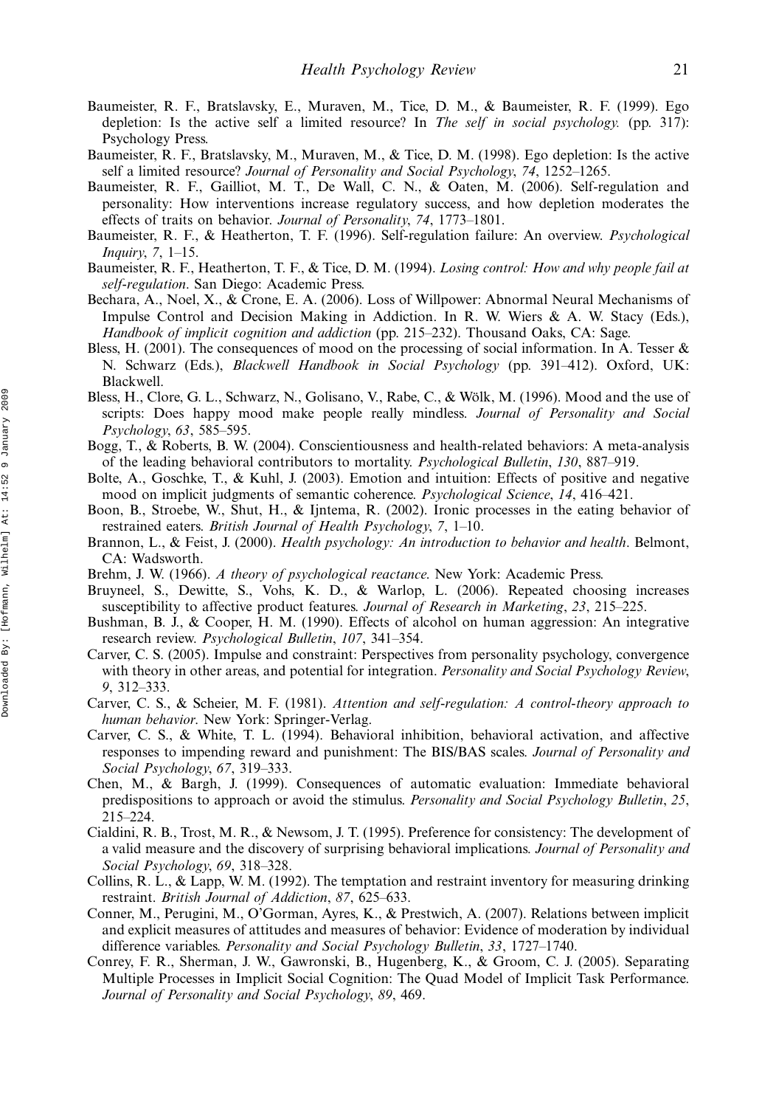- Baumeister, R. F., Bratslavsky, E., Muraven, M., Tice, D. M., & Baumeister, R. F. (1999). Ego depletion: Is the active self a limited resource? In The self in social psychology. (pp. 317): Psychology Press.
- Baumeister, R. F., Bratslavsky, M., Muraven, M., & Tice, D. M. (1998). Ego depletion: Is the active self a limited resource? Journal of Personality and Social Psychology, 74, 1252–1265.
- Baumeister, R. F., Gailliot, M. T., De Wall, C. N., & Oaten, M. (2006). Self-regulation and personality: How interventions increase regulatory success, and how depletion moderates the effects of traits on behavior. Journal of Personality, 74, 1773-1801.
- Baumeister, R. F., & Heatherton, T. F. (1996). Self-regulation failure: An overview. Psychological Inquiry,  $7, 1-15$ .
- Baumeister, R. F., Heatherton, T. F., & Tice, D. M. (1994). Losing control: How and why people fail at self-regulation. San Diego: Academic Press.
- Bechara, A., Noel, X., & Crone, E. A. (2006). Loss of Willpower: Abnormal Neural Mechanisms of Impulse Control and Decision Making in Addiction. In R. W. Wiers & A. W. Stacy (Eds.), Handbook of implicit cognition and addiction (pp. 215–232). Thousand Oaks, CA: Sage.
- Bless, H. (2001). The consequences of mood on the processing of social information. In A. Tesser & N. Schwarz (Eds.), Blackwell Handbook in Social Psychology (pp. 391-412). Oxford, UK: Blackwell.
- Bless, H., Clore, G. L., Schwarz, N., Golisano, V., Rabe, C., & Wölk, M. (1996). Mood and the use of scripts: Does happy mood make people really mindless. Journal of Personality and Social Psychology, 63, 585–595.
- Bogg, T., & Roberts, B. W. (2004). Conscientiousness and health-related behaviors: A meta-analysis of the leading behavioral contributors to mortality. *Psychological Bulletin*, 130, 887–919.
- Bolte, A., Goschke, T., & Kuhl, J. (2003). Emotion and intuition: Effects of positive and negative mood on implicit judgments of semantic coherence. Psychological Science, 14, 416-421.
- Boon, B., Stroebe, W., Shut, H., & Ijntema, R. (2002). Ironic processes in the eating behavior of restrained eaters. *British Journal of Health Psychology*,  $7, 1\n-10$ .
- Brannon, L., & Feist, J. (2000). Health psychology: An introduction to behavior and health. Belmont, CA: Wadsworth.
- Brehm, J. W. (1966). A theory of psychological reactance. New York: Academic Press.
- Bruyneel, S., Dewitte, S., Vohs, K. D., & Warlop, L. (2006). Repeated choosing increases susceptibility to affective product features. Journal of Research in Marketing, 23, 215–225.
- Bushman, B. J., & Cooper, H. M. (1990). Effects of alcohol on human aggression: An integrative research review. Psychological Bulletin, 107, 341-354.
- Carver, C. S. (2005). Impulse and constraint: Perspectives from personality psychology, convergence with theory in other areas, and potential for integration. Personality and Social Psychology Review, 9, 312-333.
- Carver, C. S., & Scheier, M. F. (1981). Attention and self-regulation: A control-theory approach to human behavior. New York: Springer-Verlag.
- Carver, C. S., & White, T. L. (1994). Behavioral inhibition, behavioral activation, and affective responses to impending reward and punishment: The BIS/BAS scales. Journal of Personality and Social Psychology, 67, 319-333.
- Chen, M., & Bargh, J. (1999). Consequences of automatic evaluation: Immediate behavioral predispositions to approach or avoid the stimulus. Personality and Social Psychology Bulletin, 25, 215224.
- Cialdini, R. B., Trost, M. R., & Newsom, J. T. (1995). Preference for consistency: The development of a valid measure and the discovery of surprising behavioral implications. Journal of Personality and Social Psychology, 69, 318-328.
- Collins, R. L., & Lapp, W. M. (1992). The temptation and restraint inventory for measuring drinking restraint. British Journal of Addiction, 87, 625-633.
- Conner, M., Perugini, M., O'Gorman, Ayres, K., & Prestwich, A. (2007). Relations between implicit and explicit measures of attitudes and measures of behavior: Evidence of moderation by individual difference variables. Personality and Social Psychology Bulletin, 33, 1727–1740.
- Conrey, F. R., Sherman, J. W., Gawronski, B., Hugenberg, K., & Groom, C. J. (2005). Separating Multiple Processes in Implicit Social Cognition: The Quad Model of Implicit Task Performance. Journal of Personality and Social Psychology, 89, 469.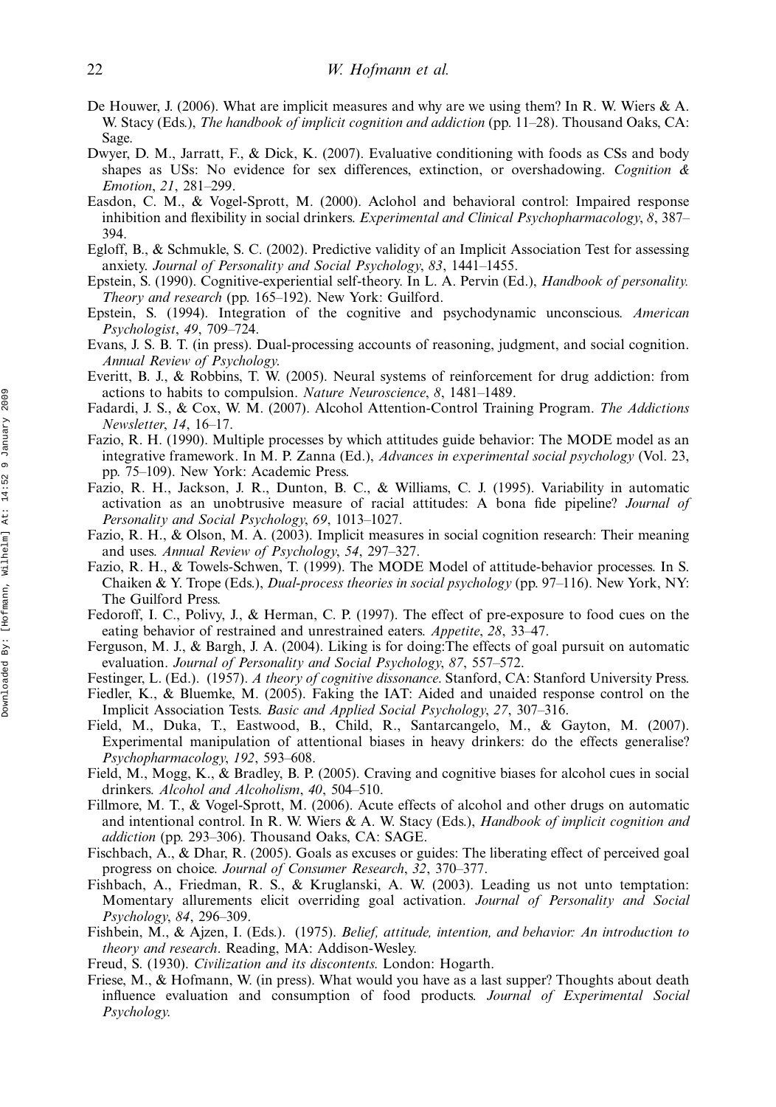- De Houwer, J. (2006). What are implicit measures and why are we using them? In R. W. Wiers & A. W. Stacy (Eds.), The handbook of implicit cognition and addiction (pp. 11–28). Thousand Oaks, CA: Sage.
- Dwyer, D. M., Jarratt, F., & Dick, K. (2007). Evaluative conditioning with foods as CSs and body shapes as USs: No evidence for sex differences, extinction, or overshadowing. Cognition  $\&$ Emotion, 21, 281-299.
- Easdon, C. M., & Vogel-Sprott, M. (2000). Aclohol and behavioral control: Impaired response inhibition and flexibility in social drinkers. Experimental and Clinical Psychopharmacology,  $8, 387-$ 394.
- Egloff, B., & Schmukle, S. C. (2002). Predictive validity of an Implicit Association Test for assessing anxiety. Journal of Personality and Social Psychology, 83, 1441–1455.
- Epstein, S. (1990). Cognitive-experiential self-theory. In L. A. Pervin (Ed.), Handbook of personality. Theory and research (pp. 165–192). New York: Guilford.
- Epstein, S. (1994). Integration of the cognitive and psychodynamic unconscious. American Psychologist, 49, 709-724.
- Evans, J. S. B. T. (in press). Dual-processing accounts of reasoning, judgment, and social cognition. Annual Review of Psychology.
- Everitt, B. J., & Robbins, T. W. (2005). Neural systems of reinforcement for drug addiction: from actions to habits to compulsion. Nature Neuroscience,  $8$ , 1481–1489.
- Fadardi, J. S., & Cox, W. M. (2007). Alcohol Attention-Control Training Program. The Addictions Newsletter, 14, 16-17.
- Fazio, R. H. (1990). Multiple processes by which attitudes guide behavior: The MODE model as an integrative framework. In M. P. Zanna (Ed.), Advances in experimental social psychology (Vol. 23, pp. 75–109). New York: Academic Press.
- Fazio, R. H., Jackson, J. R., Dunton, B. C., & Williams, C. J. (1995). Variability in automatic activation as an unobtrusive measure of racial attitudes: A bona fide pipeline? Journal of Personality and Social Psychology,  $69, 1013-1027$ .
- Fazio, R. H., & Olson, M. A. (2003). Implicit measures in social cognition research: Their meaning and uses. Annual Review of Psychology, 54, 297-327.
- Fazio, R. H., & Towels-Schwen, T. (1999). The MODE Model of attitude-behavior processes. In S. Chaiken & Y. Trope (Eds.), *Dual-process theories in social psychology* (pp.  $97-116$ ). New York, NY: The Guilford Press.
- Fedoroff, I. C., Polivy, J., & Herman, C. P. (1997). The effect of pre-exposure to food cues on the eating behavior of restrained and unrestrained eaters. *Appetite*, 28, 33–47.
- Ferguson, M. J., & Bargh, J. A. (2004). Liking is for doing:The effects of goal pursuit on automatic evaluation. Journal of Personality and Social Psychology, 87, 557–572.

Festinger, L. (Ed.). (1957). A theory of cognitive dissonance. Stanford, CA: Stanford University Press.

- Fiedler, K., & Bluemke, M. (2005). Faking the IAT: Aided and unaided response control on the Implicit Association Tests. Basic and Applied Social Psychology, 27, 307-316.
- Field, M., Duka, T., Eastwood, B., Child, R., Santarcangelo, M., & Gayton, M. (2007). Experimental manipulation of attentional biases in heavy drinkers: do the effects generalise? Psychopharmacology, 192, 593-608.
- Field, M., Mogg, K., & Bradley, B. P. (2005). Craving and cognitive biases for alcohol cues in social drinkers. Alcohol and Alcoholism, 40, 504-510.
- Fillmore, M. T., & Vogel-Sprott, M. (2006). Acute effects of alcohol and other drugs on automatic and intentional control. In R. W. Wiers & A. W. Stacy (Eds.), *Handbook of implicit cognition and* addiction (pp. 293–306). Thousand Oaks, CA: SAGE.
- Fischbach, A., & Dhar, R. (2005). Goals as excuses or guides: The liberating effect of perceived goal progress on choice. Journal of Consumer Research, 32, 370–377.
- Fishbach, A., Friedman, R. S., & Kruglanski, A. W. (2003). Leading us not unto temptation: Momentary allurements elicit overriding goal activation. Journal of Personality and Social Psychology, 84, 296-309.
- Fishbein, M., & Ajzen, I. (Eds.). (1975). Belief, attitude, intention, and behavior: An introduction to theory and research. Reading, MA: Addison-Wesley.
- Freud, S. (1930). Civilization and its discontents. London: Hogarth.
- Friese, M., & Hofmann, W. (in press). What would you have as a last supper? Thoughts about death influence evaluation and consumption of food products. Journal of Experimental Social Psychology.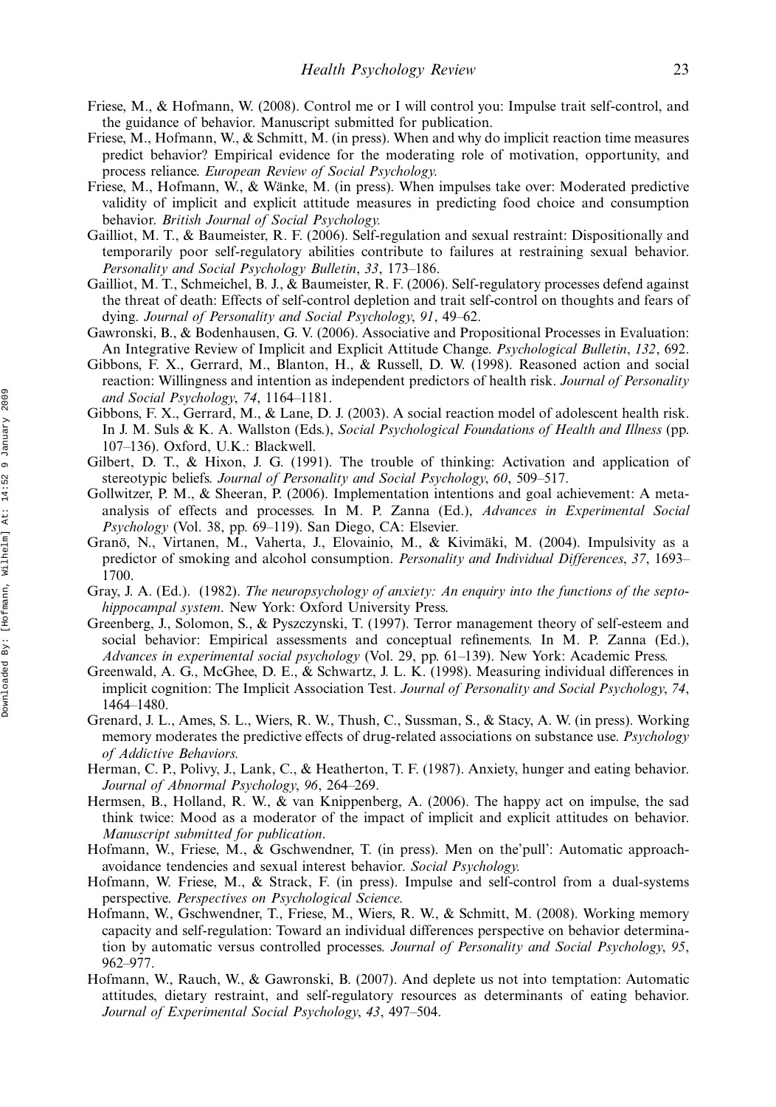- Friese, M., & Hofmann, W. (2008). Control me or I will control you: Impulse trait self-control, and the guidance of behavior. Manuscript submitted for publication.
- Friese, M., Hofmann, W., & Schmitt, M. (in press). When and why do implicit reaction time measures predict behavior? Empirical evidence for the moderating role of motivation, opportunity, and process reliance. European Review of Social Psychology.
- Friese, M., Hofmann, W., & Wänke, M. (in press). When impulses take over: Moderated predictive validity of implicit and explicit attitude measures in predicting food choice and consumption behavior. British Journal of Social Psychology.
- Gailliot, M. T., & Baumeister, R. F. (2006). Self-regulation and sexual restraint: Dispositionally and temporarily poor self-regulatory abilities contribute to failures at restraining sexual behavior. Personality and Social Psychology Bulletin, 33, 173-186.
- Gailliot, M. T., Schmeichel, B. J., & Baumeister, R. F. (2006). Self-regulatory processes defend against the threat of death: Effects of self-control depletion and trait self-control on thoughts and fears of dying. Journal of Personality and Social Psychology, 91, 49–62.
- Gawronski, B., & Bodenhausen, G. V. (2006). Associative and Propositional Processes in Evaluation: An Integrative Review of Implicit and Explicit Attitude Change. *Psychological Bulletin*, 132, 692.
- Gibbons, F. X., Gerrard, M., Blanton, H., & Russell, D. W. (1998). Reasoned action and social reaction: Willingness and intention as independent predictors of health risk. Journal of Personality and Social Psychology, 74, 1164-1181.
- Gibbons, F. X., Gerrard, M., & Lane, D. J. (2003). A social reaction model of adolescent health risk. In J. M. Suls & K. A. Wallston (Eds.), Social Psychological Foundations of Health and Illness (pp. 107-136). Oxford, U.K.: Blackwell.
- Gilbert, D. T., & Hixon, J. G. (1991). The trouble of thinking: Activation and application of stereotypic beliefs. Journal of Personality and Social Psychology, 60, 509-517.
- Gollwitzer, P. M., & Sheeran, P. (2006). Implementation intentions and goal achievement: A metaanalysis of effects and processes. In M. P. Zanna (Ed.), Advances in Experimental Social  $Psychology$  (Vol. 38, pp. 69–119). San Diego, CA: Elsevier.
- Granö, N., Virtanen, M., Vaherta, J., Elovainio, M., & Kivimäki, M. (2004). Impulsivity as a predictor of smoking and alcohol consumption. Personality and Individual Differences, 37, 1693 1700.
- Gray, J. A. (Ed.). (1982). The neuropsychology of anxiety: An enquiry into the functions of the septohippocampal system. New York: Oxford University Press.
- Greenberg, J., Solomon, S., & Pyszczynski, T. (1997). Terror management theory of self-esteem and social behavior: Empirical assessments and conceptual refinements. In M. P. Zanna (Ed.), Advances in experimental social psychology (Vol. 29, pp. 61-139). New York: Academic Press.
- Greenwald, A. G., McGhee, D. E., & Schwartz, J. L. K. (1998). Measuring individual differences in implicit cognition: The Implicit Association Test. Journal of Personality and Social Psychology, 74, 1464-1480.
- Grenard, J. L., Ames, S. L., Wiers, R. W., Thush, C., Sussman, S., & Stacy, A. W. (in press). Working memory moderates the predictive effects of drug-related associations on substance use. *Psychology* of Addictive Behaviors.
- Herman, C. P., Polivy, J., Lank, C., & Heatherton, T. F. (1987). Anxiety, hunger and eating behavior. Journal of Abnormal Psychology, 96, 264–269.
- Hermsen, B., Holland, R. W., & van Knippenberg, A. (2006). The happy act on impulse, the sad think twice: Mood as a moderator of the impact of implicit and explicit attitudes on behavior. Manuscript submitted for publication.
- Hofmann, W., Friese, M., & Gschwendner, T. (in press). Men on the'pull': Automatic approachavoidance tendencies and sexual interest behavior. Social Psychology.
- Hofmann, W. Friese, M., & Strack, F. (in press). Impulse and self-control from a dual-systems perspective. Perspectives on Psychological Science.
- Hofmann, W., Gschwendner, T., Friese, M., Wiers, R. W., & Schmitt, M. (2008). Working memory capacity and self-regulation: Toward an individual differences perspective on behavior determination by automatic versus controlled processes. Journal of Personality and Social Psychology, 95, 962-977.
- Hofmann, W., Rauch, W., & Gawronski, B. (2007). And deplete us not into temptation: Automatic attitudes, dietary restraint, and self-regulatory resources as determinants of eating behavior. Journal of Experimental Social Psychology, 43, 497-504.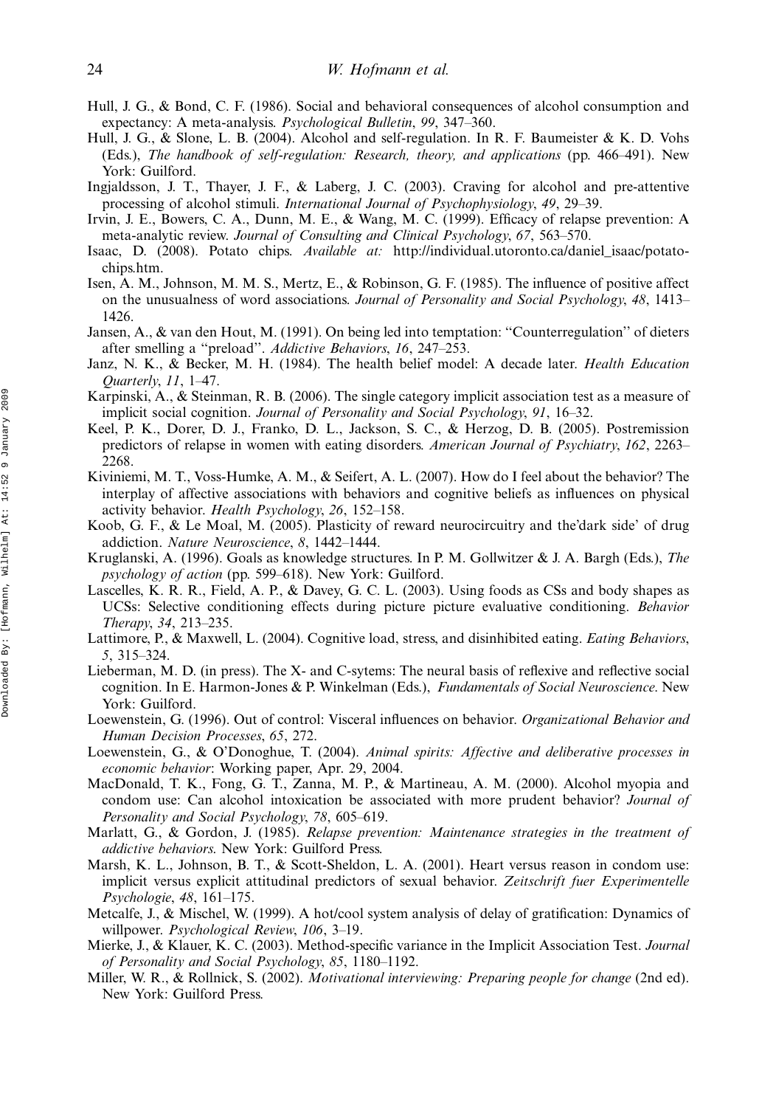- Hull, J. G., & Bond, C. F. (1986). Social and behavioral consequences of alcohol consumption and expectancy: A meta-analysis. Psychological Bulletin, 99, 347-360.
- Hull, J. G., & Slone, L. B. (2004). Alcohol and self-regulation. In R. F. Baumeister & K. D. Vohs (Eds.), The handbook of self-regulation: Research, theory, and applications (pp. 466–491). New York: Guilford.
- Ingjaldsson, J. T., Thayer, J. F., & Laberg, J. C. (2003). Craving for alcohol and pre-attentive processing of alcohol stimuli. International Journal of Psychophysiology, 49, 29–39.
- Irvin, J. E., Bowers, C. A., Dunn, M. E., & Wang, M. C. (1999). Efficacy of relapse prevention: A meta-analytic review. Journal of Consulting and Clinical Psychology, 67, 563–570.
- Isaac, D. (2008). Potato chips. Available at: [http://individual.utoronto.ca/daniel\\_isaac/potato](http://individual.utoronto.ca/daniel_isaac/potatochips.htm)[chips.htm.](http://individual.utoronto.ca/daniel_isaac/potatochips.htm)
- Isen, A. M., Johnson, M. M. S., Mertz, E., & Robinson, G. F. (1985). The influence of positive affect on the unusualness of word associations. Journal of Personality and Social Psychology, 48, 1413 1426.
- Jansen, A., & van den Hout, M. (1991). On being led into temptation: ''Counterregulation'' of dieters after smelling a "preload". Addictive Behaviors, 16, 247–253.
- Janz, N. K., & Becker, M. H. (1984). The health belief model: A decade later. Health Education Quarterly, 11, 1-47.
- Karpinski, A., & Steinman, R. B. (2006). The single category implicit association test as a measure of implicit social cognition. Journal of Personality and Social Psychology, 91,  $16-32$ .
- Keel, P. K., Dorer, D. J., Franko, D. L., Jackson, S. C., & Herzog, D. B. (2005). Postremission predictors of relapse in women with eating disorders. American Journal of Psychiatry, 162, 2263 2268.
- Kiviniemi, M. T., Voss-Humke, A. M., & Seifert, A. L. (2007). How do I feel about the behavior? The interplay of affective associations with behaviors and cognitive beliefs as influences on physical activity behavior. Health Psychology, 26, 152-158.
- Koob, G. F., & Le Moal, M. (2005). Plasticity of reward neurocircuitry and the'dark side' of drug addiction. Nature Neuroscience, 8, 1442-1444.
- Kruglanski, A. (1996). Goals as knowledge structures. In P. M. Gollwitzer & J. A. Bargh (Eds.), The psychology of action (pp. 599–618). New York: Guilford.
- Lascelles, K. R. R., Field, A. P., & Davey, G. C. L. (2003). Using foods as CSs and body shapes as UCSs: Selective conditioning effects during picture picture evaluative conditioning. Behavior Therapy, 34, 213-235.
- Lattimore, P., & Maxwell, L. (2004). Cognitive load, stress, and disinhibited eating. Eating Behaviors, 5, 315–324.
- Lieberman, M. D. (in press). The X- and C-sytems: The neural basis of reflexive and reflective social cognition. In E. Harmon-Jones & P. Winkelman (Eds.), Fundamentals of Social Neuroscience. New York: Guilford.
- Loewenstein, G. (1996). Out of control: Visceral influences on behavior. Organizational Behavior and Human Decision Processes, 65, 272.
- Loewenstein, G., & O'Donoghue, T. (2004). Animal spirits: Affective and deliberative processes in economic behavior: Working paper, Apr. 29, 2004.
- MacDonald, T. K., Fong, G. T., Zanna, M. P., & Martineau, A. M. (2000). Alcohol myopia and condom use: Can alcohol intoxication be associated with more prudent behavior? Journal of Personality and Social Psychology, 78, 605-619.
- Marlatt, G., & Gordon, J. (1985). Relapse prevention: Maintenance strategies in the treatment of addictive behaviors. New York: Guilford Press.
- Marsh, K. L., Johnson, B. T., & Scott-Sheldon, L. A. (2001). Heart versus reason in condom use: implicit versus explicit attitudinal predictors of sexual behavior. Zeitschrift fuer Experimentelle  $Psychologie, 48, 161–175.$
- Metcalfe, J., & Mischel, W. (1999). A hot/cool system analysis of delay of gratification: Dynamics of willpower. *Psychological Review*, 106, 3–19.
- Mierke, J., & Klauer, K. C. (2003). Method-specific variance in the Implicit Association Test. Journal of Personality and Social Psychology,  $85, 1180-1192$ .
- Miller, W. R., & Rollnick, S. (2002). Motivational interviewing: Preparing people for change (2nd ed). New York: Guilford Press.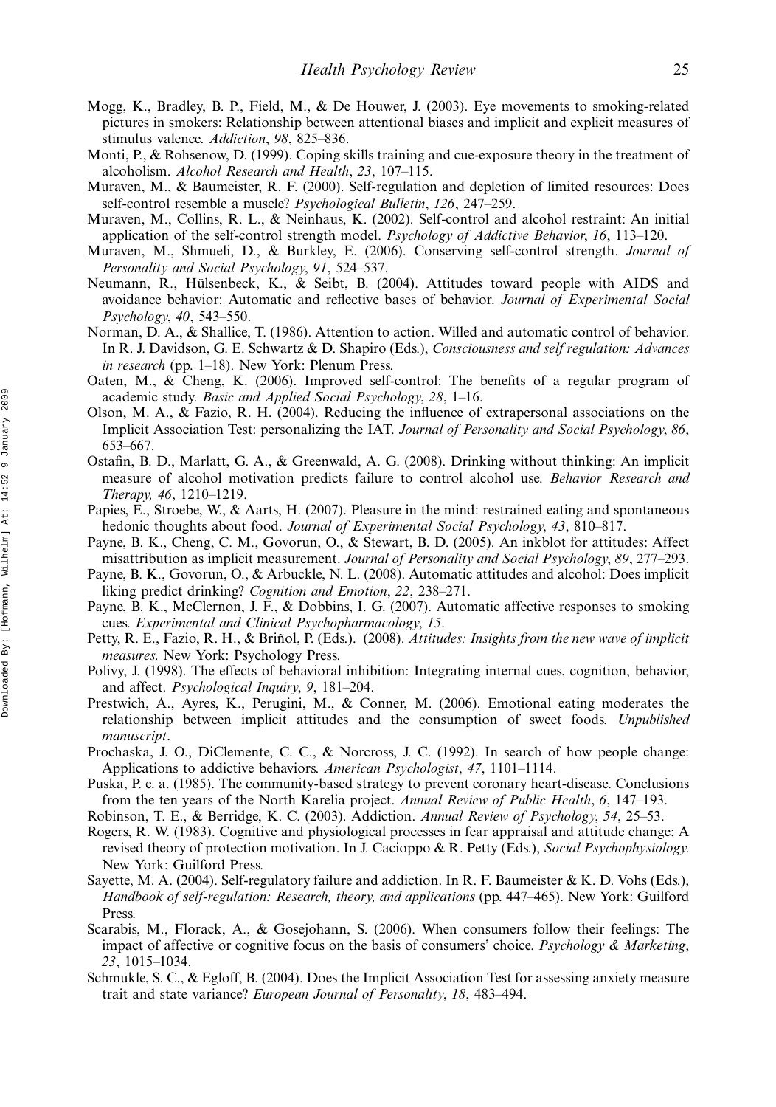- Mogg, K., Bradley, B. P., Field, M., & De Houwer, J. (2003). Eye movements to smoking-related pictures in smokers: Relationship between attentional biases and implicit and explicit measures of stimulus valence. Addiction, 98, 825-836.
- Monti, P., & Rohsenow, D. (1999). Coping skills training and cue-exposure theory in the treatment of alcoholism. Alcohol Research and Health, 23, 107-115.
- Muraven, M., & Baumeister, R. F. (2000). Self-regulation and depletion of limited resources: Does self-control resemble a muscle? Psychological Bulletin, 126, 247–259.
- Muraven, M., Collins, R. L., & Neinhaus, K. (2002). Self-control and alcohol restraint: An initial application of the self-control strength model. Psychology of Addictive Behavior, 16, 113–120.
- Muraven, M., Shmueli, D., & Burkley, E. (2006). Conserving self-control strength. Journal of Personality and Social Psychology, 91, 524-537.
- Neumann, R., Hülsenbeck, K., & Seibt, B. (2004). Attitudes toward people with AIDS and avoidance behavior: Automatic and reflective bases of behavior. Journal of Experimental Social  $Psychology, 40, 543–550.$
- Norman, D. A., & Shallice, T. (1986). Attention to action. Willed and automatic control of behavior. In R. J. Davidson, G. E. Schwartz & D. Shapiro (Eds.), Consciousness and self regulation: Advances in research (pp.  $1-18$ ). New York: Plenum Press.
- Oaten, M., & Cheng, K. (2006). Improved self-control: The benefits of a regular program of academic study. Basic and Applied Social Psychology,  $28$ ,  $1-16$ .
- Olson, M. A., & Fazio, R. H. (2004). Reducing the influence of extrapersonal associations on the Implicit Association Test: personalizing the IAT. Journal of Personality and Social Psychology, 86, 653667.
- Ostafin, B. D., Marlatt, G. A., & Greenwald, A. G. (2008). Drinking without thinking: An implicit measure of alcohol motivation predicts failure to control alcohol use. Behavior Research and Therapy,  $46, 1210 - 1219$ .
- Papies, E., Stroebe, W., & Aarts, H. (2007). Pleasure in the mind: restrained eating and spontaneous hedonic thoughts about food. Journal of Experimental Social Psychology, 43, 810–817.
- Payne, B. K., Cheng, C. M., Govorun, O., & Stewart, B. D. (2005). An inkblot for attitudes: Affect misattribution as implicit measurement. Journal of Personality and Social Psychology, 89, 277–293.
- Payne, B. K., Govorun, O., & Arbuckle, N. L. (2008). Automatic attitudes and alcohol: Does implicit liking predict drinking? Cognition and Emotion, 22, 238-271.
- Payne, B. K., McClernon, J. F., & Dobbins, I. G. (2007). Automatic affective responses to smoking cues. Experimental and Clinical Psychopharmacology, 15.
- Petty, R. E., Fazio, R. H., & Briñol, P. (Eds.). (2008). Attitudes: Insights from the new wave of implicit measures. New York: Psychology Press.
- Polivy, J. (1998). The effects of behavioral inhibition: Integrating internal cues, cognition, behavior, and affect. Psychological Inquiry, 9, 181-204.
- Prestwich, A., Ayres, K., Perugini, M., & Conner, M. (2006). Emotional eating moderates the relationship between implicit attitudes and the consumption of sweet foods. Unpublished manuscript.
- Prochaska, J. O., DiClemente, C. C., & Norcross, J. C. (1992). In search of how people change: Applications to addictive behaviors. American Psychologist, 47, 1101–1114.
- Puska, P. e. a. (1985). The community-based strategy to prevent coronary heart-disease. Conclusions from the ten years of the North Karelia project. Annual Review of Public Health, 6, 147–193.
- Robinson, T. E., & Berridge, K. C. (2003). Addiction. Annual Review of Psychology, 54, 25–53.
- Rogers, R. W. (1983). Cognitive and physiological processes in fear appraisal and attitude change: A revised theory of protection motivation. In J. Cacioppo & R. Petty (Eds.), Social Psychophysiology. New York: Guilford Press.
- Sayette, M. A. (2004). Self-regulatory failure and addiction. In R. F. Baumeister & K. D. Vohs (Eds.), Handbook of self-regulation: Research, theory, and applications (pp. 447–465). New York: Guilford Press.
- Scarabis, M., Florack, A., & Gosejohann, S. (2006). When consumers follow their feelings: The impact of affective or cognitive focus on the basis of consumers' choice. Psychology & Marketing, 23, 1015–1034.
- Schmukle, S. C., & Egloff, B. (2004). Does the Implicit Association Test for assessing anxiety measure trait and state variance? European Journal of Personality, 18, 483-494.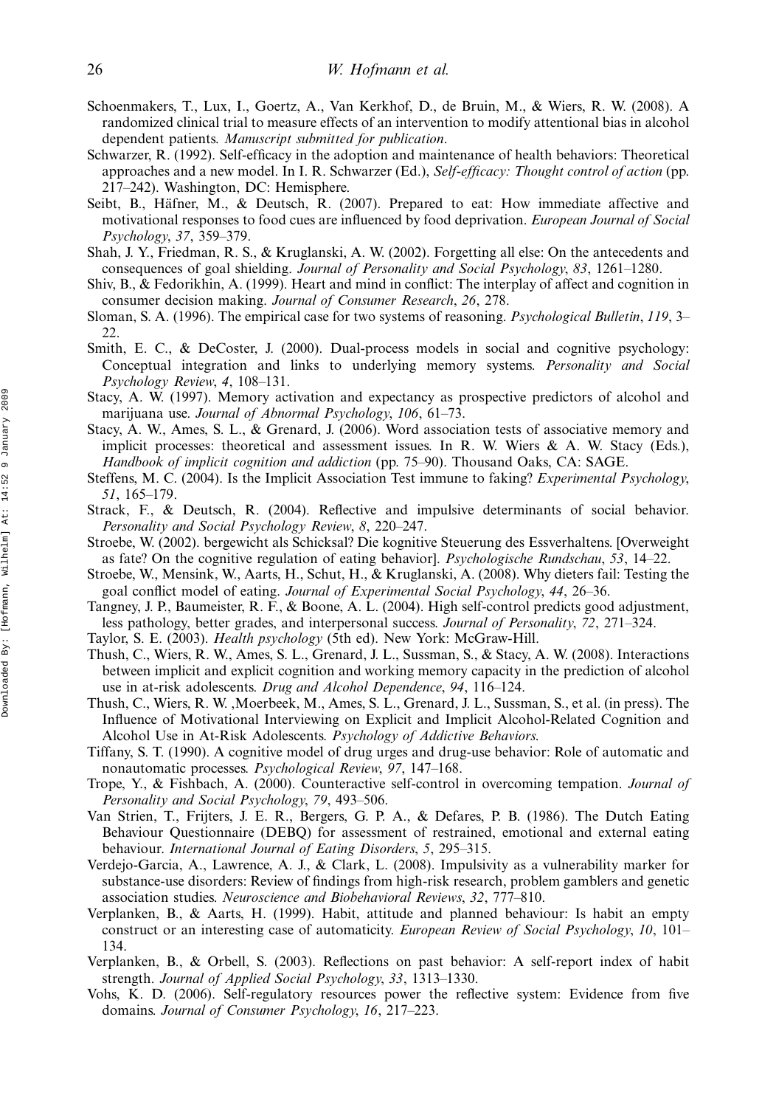- Schoenmakers, T., Lux, I., Goertz, A., Van Kerkhof, D., de Bruin, M., & Wiers, R. W. (2008). A randomized clinical trial to measure effects of an intervention to modify attentional bias in alcohol dependent patients. Manuscript submitted for publication.
- Schwarzer, R. (1992). Self-efficacy in the adoption and maintenance of health behaviors: Theoretical approaches and a new model. In I. R. Schwarzer (Ed.), Self-efficacy: Thought control of action (pp. 217242). Washington, DC: Hemisphere.
- Seibt, B., Häfner, M., & Deutsch, R. (2007). Prepared to eat: How immediate affective and motivational responses to food cues are influenced by food deprivation. European Journal of Social Psychology, 37, 359-379.
- Shah, J. Y., Friedman, R. S., & Kruglanski, A. W. (2002). Forgetting all else: On the antecedents and consequences of goal shielding. Journal of Personality and Social Psychology,  $83$ ,  $1261-1280$ .
- Shiv, B., & Fedorikhin, A. (1999). Heart and mind in conflict: The interplay of affect and cognition in consumer decision making. Journal of Consumer Research, 26, 278.
- Sloman, S. A. (1996). The empirical case for two systems of reasoning. Psychological Bulletin, 119, 3 22.
- Smith, E. C., & DeCoster, J. (2000). Dual-process models in social and cognitive psychology: Conceptual integration and links to underlying memory systems. Personality and Social Psychology Review, 4, 108-131.
- Stacy, A. W. (1997). Memory activation and expectancy as prospective predictors of alcohol and marijuana use. Journal of Abnormal Psychology, 106, 61-73.
- Stacy, A. W., Ames, S. L., & Grenard, J. (2006). Word association tests of associative memory and implicit processes: theoretical and assessment issues. In R. W. Wiers & A. W. Stacy (Eds.), Handbook of implicit cognition and addiction (pp. 75–90). Thousand Oaks, CA: SAGE.
- Steffens, M. C. (2004). Is the Implicit Association Test immune to faking? Experimental Psychology, 51, 165–179.
- Strack, F., & Deutsch, R. (2004). Reflective and impulsive determinants of social behavior. Personality and Social Psychology Review, 8, 220–247.
- Stroebe, W. (2002). bergewicht als Schicksal? Die kognitive Steuerung des Essverhaltens. [Overweight as fate? On the cognitive regulation of eating behavior]. Psychologische Rundschau, 53, 14–22.
- Stroebe, W., Mensink, W., Aarts, H., Schut, H., & Kruglanski, A. (2008). Why dieters fail: Testing the goal conflict model of eating. Journal of Experimental Social Psychology, 44, 26–36.
- Tangney, J. P., Baumeister, R. F., & Boone, A. L. (2004). High self-control predicts good adjustment, less pathology, better grades, and interpersonal success. Journal of Personality, 72, 271–324.
- Taylor, S. E. (2003). Health psychology (5th ed). New York: McGraw-Hill.
- Thush, C., Wiers, R. W., Ames, S. L., Grenard, J. L., Sussman, S., & Stacy, A. W. (2008). Interactions between implicit and explicit cognition and working memory capacity in the prediction of alcohol use in at-risk adolescents. Drug and Alcohol Dependence, 94, 116-124.
- Thush, C., Wiers, R. W. ,Moerbeek, M., Ames, S. L., Grenard, J. L., Sussman, S., et al. (in press). The Influence of Motivational Interviewing on Explicit and Implicit Alcohol-Related Cognition and Alcohol Use in At-Risk Adolescents. Psychology of Addictive Behaviors.
- Tiffany, S. T. (1990). A cognitive model of drug urges and drug-use behavior: Role of automatic and nonautomatic processes. Psychological Review, 97, 147-168.
- Trope, Y., & Fishbach, A. (2000). Counteractive self-control in overcoming tempation. Journal of Personality and Social Psychology, 79, 493-506.
- Van Strien, T., Frijters, J. E. R., Bergers, G. P. A., & Defares, P. B. (1986). The Dutch Eating Behaviour Questionnaire (DEBQ) for assessment of restrained, emotional and external eating behaviour. International Journal of Eating Disorders, 5, 295-315.
- Verdejo-Garcia, A., Lawrence, A. J., & Clark, L. (2008). Impulsivity as a vulnerability marker for substance-use disorders: Review of findings from high-risk research, problem gamblers and genetic association studies. Neuroscience and Biobehavioral Reviews, 32, 777-810.
- Verplanken, B., & Aarts, H. (1999). Habit, attitude and planned behaviour: Is habit an empty construct or an interesting case of automaticity. *European Review of Social Psychology*, 10, 101– 134.
- Verplanken, B., & Orbell, S. (2003). Reflections on past behavior: A self-report index of habit strength. Journal of Applied Social Psychology, 33, 1313–1330.
- Vohs, K. D. (2006). Self-regulatory resources power the reflective system: Evidence from five domains. Journal of Consumer Psychology, 16, 217–223.